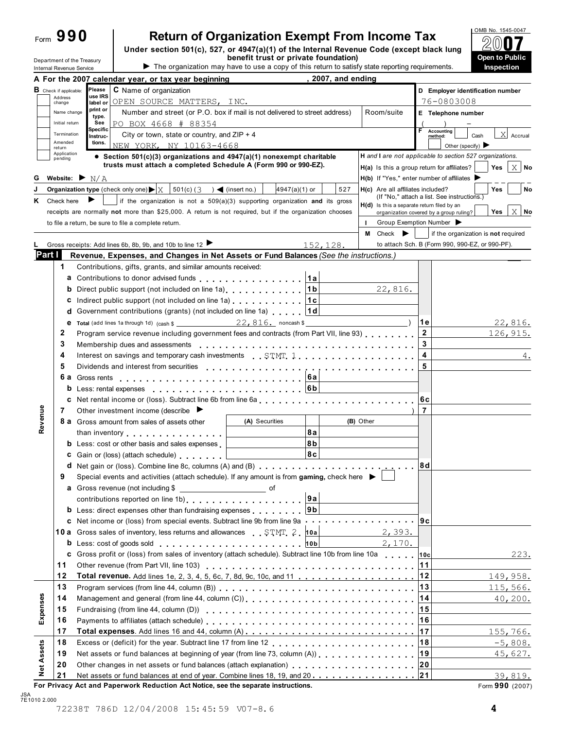| ⊢∩rm | О | $\blacksquare$ |  |
|------|---|----------------|--|
|      |   |                |  |

Department of the Treasury<br>Internal Revenue Service

# **Return of Organization Exempt From Income Tax**

**Under section 501(c), 527, or 4947(a)(1) of the Internal Revenue Code (except black lung benefit trust or private foundation)**<br> **Example 19 The organization may have to use a copy of this return to satisfy state reporting requirements. Inspection Internal Revenue Service Service Service Service Service Service Service Service Service Service Service Service Service Service Service Service Service Service Service Service Service Service Service Service Service Serv** 



|                   |                                                    | 2007, and ending<br>A For the 2007 calendar year, or tax year beginning                                                                                                                                                        |                                                                                           |                                     |
|-------------------|----------------------------------------------------|--------------------------------------------------------------------------------------------------------------------------------------------------------------------------------------------------------------------------------|-------------------------------------------------------------------------------------------|-------------------------------------|
|                   | <b>B</b> Check if applicable:<br>Address<br>change | Please<br><b>C</b> Name of organization<br>use IRS<br>OPEN SOURCE MATTERS, INC.<br>label or                                                                                                                                    | 76-0803008                                                                                | D Employer identification number    |
|                   | Name change<br>Initial return                      | print or<br>Number and street (or P.O. box if mail is not delivered to street address)<br>type.<br>PO BOX 4668 # 88354<br>See                                                                                                  | Room/suite<br>E Telephone number                                                          |                                     |
|                   | Termination                                        | Specific<br>City or town, state or country, and $ZIP + 4$<br>Instruc-                                                                                                                                                          | F.<br><b>Accounting</b><br>method:                                                        | $\mathbf{X}$<br>Accrual<br>Cash     |
|                   | Amended<br>return                                  | tions.<br>NEW YORK, NY 10163-4668                                                                                                                                                                                              | Other (specify) $\blacktriangleright$                                                     |                                     |
|                   | Application<br>pending                             | • Section 501(c)(3) organizations and $4947(a)(1)$ nonexempt charitable                                                                                                                                                        | H and I are not applicable to section 527 organizations.                                  |                                     |
|                   |                                                    | trusts must attach a completed Schedule A (Form 990 or 990-EZ).                                                                                                                                                                | H(a) Is this a group return for affiliates?                                               | $X$ No<br>Yes                       |
| G                 |                                                    | Website: $\blacktriangleright$ N/A                                                                                                                                                                                             | $H(b)$ If "Yes," enter number of affiliates                                               |                                     |
|                   |                                                    | $501(c)$ (3<br>Organization type (check only one) $\blacktriangleright$ $\mid$ X<br>4947(a)(1) or<br>527<br>$\sim$ (insert no.)                                                                                                | H(c) Are all affiliates included?                                                         | Yes<br>No                           |
| ĸ                 | Check here                                         | if the organization is not a $509(a)(3)$ supporting organization and its gross                                                                                                                                                 | (If "No," attach a list. See instructions.)<br>H(d) Is this a separate return filed by an |                                     |
|                   |                                                    | receipts are normally not more than \$25,000. A return is not required, but if the organization chooses                                                                                                                        | organization covered by a group ruling?                                                   | $X$ No<br>Yes                       |
|                   |                                                    | to file a return, be sure to file a complete return.                                                                                                                                                                           | Group Exemption Number<br>$\mathbf{L}$                                                    |                                     |
|                   |                                                    |                                                                                                                                                                                                                                | Check $\blacktriangleright$<br>M                                                          | if the organization is not required |
|                   |                                                    | Gross receipts: Add lines 6b, 8b, 9b, and 10b to line 12 ▶<br>152, 128.                                                                                                                                                        | to attach Sch. B (Form 990, 990-EZ, or 990-PF).                                           |                                     |
| Part I            |                                                    | Revenue, Expenses, and Changes in Net Assets or Fund Balances (See the instructions.)                                                                                                                                          |                                                                                           |                                     |
|                   | 1                                                  | Contributions, gifts, grants, and similar amounts received:                                                                                                                                                                    |                                                                                           |                                     |
|                   | a                                                  | Contributions to donor advised funds <b>CONSIDENT 12</b> 12                                                                                                                                                                    |                                                                                           |                                     |
|                   | b                                                  | Direct public support (not included on line 1a) example 20 and 16                                                                                                                                                              | 22,816.                                                                                   |                                     |
|                   | c                                                  | Indirect public support (not included on line 1a) [1c]                                                                                                                                                                         |                                                                                           |                                     |
|                   | d                                                  | Government contributions (grants) (not included on line 1a) $ 1d $                                                                                                                                                             |                                                                                           |                                     |
|                   | е                                                  | <b>Total</b> (add lines 1a through 1d) (cash $\frac{22}{10}$ , 22, 816. noncash $\frac{12}{10}$                                                                                                                                | 1 e                                                                                       | 22,816.                             |
|                   | 2                                                  | Program service revenue including government fees and contracts (from Part VII, line 93)                                                                                                                                       | $\mathbf 2$                                                                               | 126, 915.                           |
|                   | 3                                                  | Membership dues and assessments                                                                                                                                                                                                | 3                                                                                         |                                     |
|                   | 4                                                  | Interest on savings and temporary cash investments STMT 1                                                                                                                                                                      | 4                                                                                         | 4.                                  |
|                   | 5                                                  |                                                                                                                                                                                                                                | 5                                                                                         |                                     |
|                   |                                                    |                                                                                                                                                                                                                                |                                                                                           |                                     |
|                   |                                                    | b Less: rental expenses extendional contact to the set of the set of the set of the set of the set of the set of the set of the set of the set of the set of the set of the set of the set of the set of the set of the set of |                                                                                           |                                     |
|                   |                                                    |                                                                                                                                                                                                                                | 6c                                                                                        |                                     |
|                   | 7                                                  | Other investment income (describe $\blacktriangleright$                                                                                                                                                                        | $\overline{7}$                                                                            |                                     |
| Revenue           |                                                    | (A) Securities<br><b>8 a</b> Gross amount from sales of assets other                                                                                                                                                           | (B) Other                                                                                 |                                     |
|                   |                                                    | 8a<br>than inventory                                                                                                                                                                                                           |                                                                                           |                                     |
|                   |                                                    | 8b<br><b>b</b> Less: cost or other basis and sales expenses                                                                                                                                                                    |                                                                                           |                                     |
|                   |                                                    | 8c<br><b>c</b> Gain or (loss) (attach schedule)                                                                                                                                                                                |                                                                                           |                                     |
|                   |                                                    |                                                                                                                                                                                                                                | 8d                                                                                        |                                     |
|                   | 9                                                  | Special events and activities (attach schedule). If any amount is from gaming, check here $\blacktriangleright$                                                                                                                |                                                                                           |                                     |
|                   |                                                    |                                                                                                                                                                                                                                |                                                                                           |                                     |
|                   |                                                    | ∣9a<br>contributions reported on line 1b) contract to the contributions reported on line 1b)                                                                                                                                   |                                                                                           |                                     |
|                   |                                                    | <b>b</b> Less: direct expenses other than fundraising expenses <b>9b</b>                                                                                                                                                       |                                                                                           |                                     |
|                   |                                                    | <b>c</b> Net income or (loss) from special events. Subtract line 9b from line 9a <b>example 2 c</b> Net income or (loss) from special events. Subtract line 9b from line 9a                                                    | 9c                                                                                        |                                     |
|                   |                                                    | 10 a Gross sales of inventory, less returns and allowances STMT 2  10a                                                                                                                                                         | 2,393.                                                                                    |                                     |
|                   |                                                    | b Less: cost of goods sold entity and the solution of the solution of the solution of the solution of the solution of the solution of the solution of the solution of the solution of the solution of the solution of the solu | 2,170.                                                                                    |                                     |
|                   |                                                    | c Gross profit or (loss) from sales of inventory (attach schedule). Subtract line 10b from line 10a                                                                                                                            | 10c                                                                                       | 223.                                |
|                   | 11                                                 |                                                                                                                                                                                                                                | $11$                                                                                      |                                     |
|                   | 12                                                 |                                                                                                                                                                                                                                |                                                                                           | 149,958.                            |
|                   | 13                                                 |                                                                                                                                                                                                                                | 13                                                                                        | 115,566.                            |
|                   | 14                                                 | Management and general (from line 44, column (C))                                                                                                                                                                              | 14                                                                                        | 40, 200.                            |
| Expenses          | 15                                                 |                                                                                                                                                                                                                                | 15                                                                                        |                                     |
|                   | 16                                                 |                                                                                                                                                                                                                                | 16                                                                                        |                                     |
|                   | 17                                                 |                                                                                                                                                                                                                                |                                                                                           | 155,766.                            |
|                   | 18                                                 |                                                                                                                                                                                                                                | 18                                                                                        | $-5,808.$                           |
|                   | 19                                                 | Net assets or fund balances at beginning of year (from line 73, column (A))                                                                                                                                                    | 19                                                                                        | 45,627.                             |
| <b>Net Assets</b> | 20                                                 | Other changes in net assets or fund balances (attach explanation)<br>year. interaction, interaction                                                                                                                            | $ 20\rangle$                                                                              |                                     |
|                   | 21                                                 | Net assets or fund balances at end of year. Combine lines 18, 19, and 20 21                                                                                                                                                    |                                                                                           | 39,819.                             |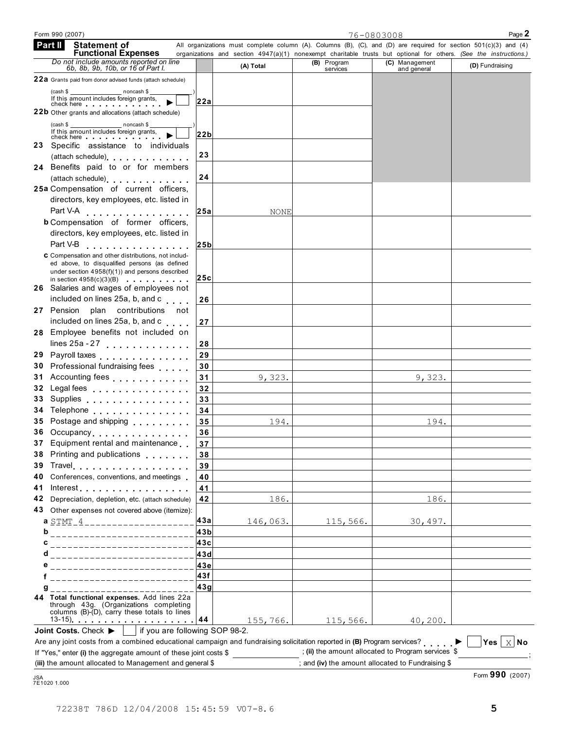| <b>Functional Expenses</b>                                                                                                                                                                                                                                                   |                                |           |                         | organizations and section 4947(a)(1) nonexempt charitable trusts but optional for others. (See the instructions.) |                        |
|------------------------------------------------------------------------------------------------------------------------------------------------------------------------------------------------------------------------------------------------------------------------------|--------------------------------|-----------|-------------------------|-------------------------------------------------------------------------------------------------------------------|------------------------|
| Do not include amounts reported on line<br>6b, 8b, 9b, 10b, or 16 of Part I.                                                                                                                                                                                                 |                                | (A) Total | (B) Program<br>services | (C) Management<br>and general                                                                                     | (D) Fundraising        |
| 22a Grants paid from donor advised funds (attach schedule)                                                                                                                                                                                                                   |                                |           |                         |                                                                                                                   |                        |
| noncash \$<br>(cash \$                                                                                                                                                                                                                                                       |                                |           |                         |                                                                                                                   |                        |
| If this amount includes foreign grants,<br>check here <b>check</b> here <b>check</b> here <b>check</b> here <b>check</b> here <b>changed check</b> here <b>changed changed changed changed changed changed changed changed changed changed changed changed changed chang</b> | 22a                            |           |                         |                                                                                                                   |                        |
| <b>22b</b> Other grants and allocations (attach schedule)                                                                                                                                                                                                                    |                                |           |                         |                                                                                                                   |                        |
| noncash \$<br>(cash \$<br>If this amount includes foreign grants,                                                                                                                                                                                                            |                                |           |                         |                                                                                                                   |                        |
| check here <b>check</b> here                                                                                                                                                                                                                                                 | 22b                            |           |                         |                                                                                                                   |                        |
| 23 Specific assistance to individuals                                                                                                                                                                                                                                        | 23                             |           |                         |                                                                                                                   |                        |
| (attach schedule) expansion of the set of the set of the set of the set of the set of the set of the set of the set of the set of the set of the set of the set of the set of the set of the set of the set of the set of the                                                |                                |           |                         |                                                                                                                   |                        |
| 24 Benefits paid to or for members                                                                                                                                                                                                                                           | 24                             |           |                         |                                                                                                                   |                        |
| (attach schedule) expansion of the set of the set of the set of the set of the set of the set of the set of the<br>25a Compensation of current officers,                                                                                                                     |                                |           |                         |                                                                                                                   |                        |
| directors, key employees, etc. listed in                                                                                                                                                                                                                                     |                                |           |                         |                                                                                                                   |                        |
| Part V-A                                                                                                                                                                                                                                                                     |                                |           |                         |                                                                                                                   |                        |
| .<br><b>b</b> Compensation of former officers,                                                                                                                                                                                                                               | 25a                            | NONE      |                         |                                                                                                                   |                        |
| directors, key employees, etc. listed in                                                                                                                                                                                                                                     |                                |           |                         |                                                                                                                   |                        |
| Part V-B<br>.                                                                                                                                                                                                                                                                | 25 <sub>b</sub>                |           |                         |                                                                                                                   |                        |
| C Compensation and other distributions, not includ-                                                                                                                                                                                                                          |                                |           |                         |                                                                                                                   |                        |
| ed above, to disqualified persons (as defined                                                                                                                                                                                                                                |                                |           |                         |                                                                                                                   |                        |
| under section $4958(f)(1)$ and persons described<br>in section $4958(c)(3)(B)$                                                                                                                                                                                               | 25c                            |           |                         |                                                                                                                   |                        |
| <b>26</b> Salaries and wages of employees not                                                                                                                                                                                                                                |                                |           |                         |                                                                                                                   |                        |
| included on lines 25a, b, and c                                                                                                                                                                                                                                              | 26                             |           |                         |                                                                                                                   |                        |
| 27 Pension<br>plan contributions not                                                                                                                                                                                                                                         |                                |           |                         |                                                                                                                   |                        |
| included on lines 25a, b, and c                                                                                                                                                                                                                                              | 27                             |           |                         |                                                                                                                   |                        |
| 28 Employee benefits not included on                                                                                                                                                                                                                                         |                                |           |                         |                                                                                                                   |                        |
| lines $25a - 27$                                                                                                                                                                                                                                                             | 28                             |           |                         |                                                                                                                   |                        |
| 29 Payroll taxes                                                                                                                                                                                                                                                             | 29                             |           |                         |                                                                                                                   |                        |
| 30 Professional fundraising fees                                                                                                                                                                                                                                             | 30                             |           |                         |                                                                                                                   |                        |
| 31 Accounting fees <b>Accounting</b> fees                                                                                                                                                                                                                                    | 31                             | 9,323.    |                         | 9,323.                                                                                                            |                        |
| 32 Legal fees                                                                                                                                                                                                                                                                | 32                             |           |                         |                                                                                                                   |                        |
| 33 Supplies                                                                                                                                                                                                                                                                  | 33                             |           |                         |                                                                                                                   |                        |
| 34 Telephone                                                                                                                                                                                                                                                                 | 34                             |           |                         |                                                                                                                   |                        |
| 35 Postage and shipping <b>container and Struth and Struth and Struth and Struth and Struth and Struth and Struth and Struth and Struth and Struth and Struth and Struth and Struth and Struth and Struth and Struth and Struth </b>                                         | 35                             | 194.      |                         | 194.                                                                                                              |                        |
| 36 Occupancy                                                                                                                                                                                                                                                                 | 36                             |           |                         |                                                                                                                   |                        |
| 37 Equipment rental and maintenance                                                                                                                                                                                                                                          | 37                             |           |                         |                                                                                                                   |                        |
| 38 Printing and publications                                                                                                                                                                                                                                                 | 38                             |           |                         |                                                                                                                   |                        |
| 39<br>I ravel                                                                                                                                                                                                                                                                | 39                             |           |                         |                                                                                                                   |                        |
| Conferences, conventions, and meetings<br>40<br>41                                                                                                                                                                                                                           | 40<br>41                       |           |                         |                                                                                                                   |                        |
| Depreciation, depletion, etc. (attach schedule)<br>42                                                                                                                                                                                                                        | 42                             | 186.      |                         | 186.                                                                                                              |                        |
| Other expenses not covered above (itemize):<br>43.                                                                                                                                                                                                                           |                                |           |                         |                                                                                                                   |                        |
| a STMT 4 ____________________                                                                                                                                                                                                                                                | 43a                            | 146,063.  | 115,566.                | 30,497.                                                                                                           |                        |
| b<br>-------------------------                                                                                                                                                                                                                                               | 43 <sub>b</sub>                |           |                         |                                                                                                                   |                        |
| c                                                                                                                                                                                                                                                                            | 43с                            |           |                         |                                                                                                                   |                        |
| d<br>____________________________                                                                                                                                                                                                                                            | 43d                            |           |                         |                                                                                                                   |                        |
| ____________________________                                                                                                                                                                                                                                                 | ∣43e                           |           |                         |                                                                                                                   |                        |
|                                                                                                                                                                                                                                                                              | 43f                            |           |                         |                                                                                                                   |                        |
| g<br>_____________________                                                                                                                                                                                                                                                   | 43g                            |           |                         |                                                                                                                   |                        |
| Total functional expenses. Add lines 22a<br>44<br>through 43g. (Organizations completing<br>columns (B)-(D), carry these totals to lines                                                                                                                                     |                                |           |                         |                                                                                                                   |                        |
|                                                                                                                                                                                                                                                                              |                                | 155,766.  | 115,566.                | 40, 200.                                                                                                          |                        |
| Joint Costs. Check $\blacktriangleright$                                                                                                                                                                                                                                     | if you are following SOP 98-2. |           |                         |                                                                                                                   |                        |
| Are any joint costs from a combined educational campaign and fundraising solicitation reported in (B) Program services?                                                                                                                                                      |                                |           |                         |                                                                                                                   | Yes $\vert x \vert$ No |
| If "Yes," enter (i) the aggregate amount of these joint costs \$                                                                                                                                                                                                             |                                |           |                         | ; (ii) the amount allocated to Program services \$                                                                |                        |
| (iii) the amount allocated to Management and general \$                                                                                                                                                                                                                      |                                |           |                         | ; and (iv) the amount allocated to Fundraising \$                                                                 |                        |

Form 990 (2007) Page **2** 76-0803008

All organizations must complete column (A). Columns (B), (C), and (D) are required for section 501(c)(3) and (4)

**Statement of**

 **Part II**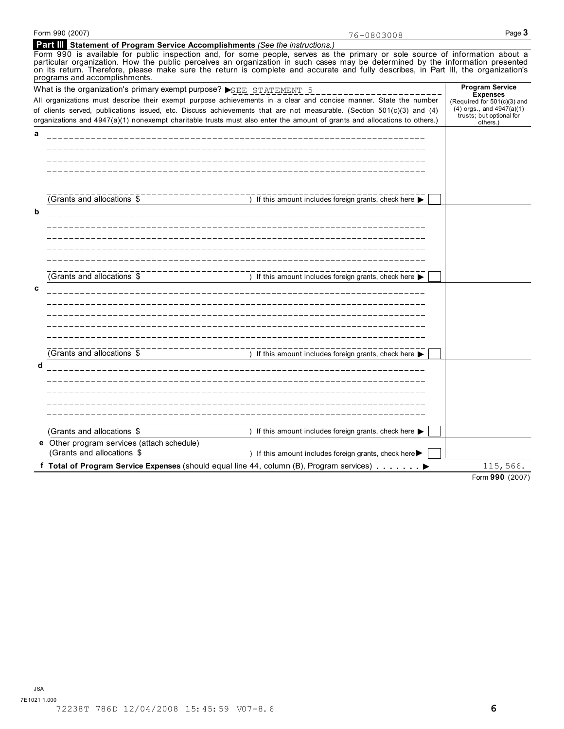**e** Other program services (attach schedule)

| Form 990 (2007)                                                               | 76-0803008                                                                                                                                                                                                                                                                                                                                                                                             | Page 3                                                                                                                  |
|-------------------------------------------------------------------------------|--------------------------------------------------------------------------------------------------------------------------------------------------------------------------------------------------------------------------------------------------------------------------------------------------------------------------------------------------------------------------------------------------------|-------------------------------------------------------------------------------------------------------------------------|
| Part III Statement of Program Service Accomplishments (See the instructions.) |                                                                                                                                                                                                                                                                                                                                                                                                        |                                                                                                                         |
| programs and accomplishments.                                                 | Form 990 is available for public inspection and, for some people, serves as the primary or sole source of information about a<br>particular organization. How the public perceives an organization in such cases may be determined by the information presented<br>on its return. Therefore, please make sure the return is complete and accurate and fully describes, in Part III, the organization's |                                                                                                                         |
| What is the organization's primary exempt purpose? SEE STATEMENT 5            |                                                                                                                                                                                                                                                                                                                                                                                                        | <b>Program Service</b>                                                                                                  |
|                                                                               | All organizations must describe their exempt purpose achievements in a clear and concise manner. State the number<br>of clients served, publications issued, etc. Discuss achievements that are not measurable. (Section 501(c)(3) and (4)<br>organizations and 4947(a)(1) nonexempt charitable trusts must also enter the amount of grants and allocations to others.)                                | <b>Expenses</b><br>(Required for 501(c)(3) and<br>$(4)$ orgs., and $4947(a)(1)$<br>trusts; but optional for<br>others.) |
| a                                                                             |                                                                                                                                                                                                                                                                                                                                                                                                        |                                                                                                                         |
|                                                                               |                                                                                                                                                                                                                                                                                                                                                                                                        |                                                                                                                         |
|                                                                               |                                                                                                                                                                                                                                                                                                                                                                                                        |                                                                                                                         |
|                                                                               |                                                                                                                                                                                                                                                                                                                                                                                                        |                                                                                                                         |
|                                                                               |                                                                                                                                                                                                                                                                                                                                                                                                        |                                                                                                                         |
| (Grants and allocations \$                                                    | ) If this amount includes foreign grants, check here ▶                                                                                                                                                                                                                                                                                                                                                 |                                                                                                                         |
| b                                                                             |                                                                                                                                                                                                                                                                                                                                                                                                        |                                                                                                                         |
|                                                                               |                                                                                                                                                                                                                                                                                                                                                                                                        |                                                                                                                         |
|                                                                               |                                                                                                                                                                                                                                                                                                                                                                                                        |                                                                                                                         |
|                                                                               |                                                                                                                                                                                                                                                                                                                                                                                                        |                                                                                                                         |
|                                                                               |                                                                                                                                                                                                                                                                                                                                                                                                        |                                                                                                                         |
|                                                                               |                                                                                                                                                                                                                                                                                                                                                                                                        |                                                                                                                         |
| (Grants and allocations \$                                                    | ) If this amount includes foreign grants, check here $\blacktriangleright$                                                                                                                                                                                                                                                                                                                             |                                                                                                                         |
| C                                                                             |                                                                                                                                                                                                                                                                                                                                                                                                        |                                                                                                                         |
|                                                                               |                                                                                                                                                                                                                                                                                                                                                                                                        |                                                                                                                         |
|                                                                               |                                                                                                                                                                                                                                                                                                                                                                                                        |                                                                                                                         |
|                                                                               |                                                                                                                                                                                                                                                                                                                                                                                                        |                                                                                                                         |
|                                                                               |                                                                                                                                                                                                                                                                                                                                                                                                        |                                                                                                                         |
| (Grants and allocations \$                                                    | ) If this amount includes foreign grants, check here $\blacktriangleright$                                                                                                                                                                                                                                                                                                                             |                                                                                                                         |
| d                                                                             |                                                                                                                                                                                                                                                                                                                                                                                                        |                                                                                                                         |

 $\overline{S}$  (Grants and allocations  $\overline{S}$  ) If this amount includes foreign grants, check here  $\overline{S}$ 

**f Formular COLUTE CONSET CONSET OF COLUTE 15 (Grants and allocations \$ ) If this amount includes foreign grants, check here ▶ | | | | <b>Total of Program Service Expenses** (should equal line 44, column (B), Program servi

) If this amount includes foreign grants, check here  $\blacktriangleright$ 

Form **990** (2007) 115,566.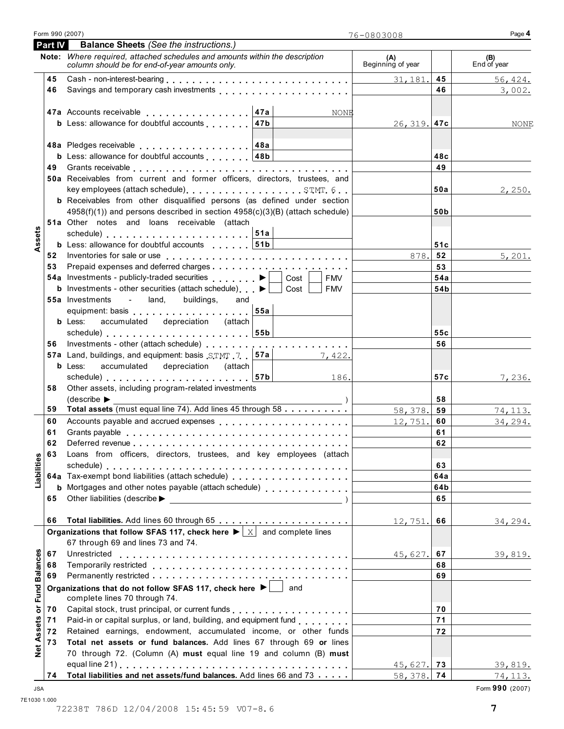|  | Form 990 (2007) |  |
|--|-----------------|--|
|  |                 |  |

| <b>Part IV</b> | <b>Balance Sheets (See the instructions.)</b>                                                                                           |                          |          |                    |
|----------------|-----------------------------------------------------------------------------------------------------------------------------------------|--------------------------|----------|--------------------|
|                | Note: Where required, attached schedules and amounts within the description<br>column should be for end-of-year amounts only.           | (A)<br>Beginning of year |          | (B)<br>End of year |
| 45             |                                                                                                                                         | 31,181.                  | 45       | 56, 424.           |
| 46             | Savings and temporary cash investments <b>Exercise 2.1 According to the Savings</b> and temporary cash investments                      |                          | 46       | 3,002.             |
|                |                                                                                                                                         |                          |          |                    |
|                | 47a<br>47a Accounts receivable<br>NONE                                                                                                  |                          |          |                    |
|                | <b>b</b> Less: allowance for doubtful accounts<br>47b                                                                                   | $26, 319.$ 47c           |          | NONE               |
|                |                                                                                                                                         |                          |          |                    |
|                |                                                                                                                                         |                          |          |                    |
|                | <b>b</b> Less: allowance for doubtful accounts $ 48b $                                                                                  |                          | 48c      |                    |
|                |                                                                                                                                         |                          | 49       |                    |
|                | 50a Receivables from current and former officers, directors, trustees, and                                                              |                          |          |                    |
|                |                                                                                                                                         |                          | 50a      | 2,250.             |
|                | <b>b</b> Receivables from other disqualified persons (as defined under section                                                          |                          |          |                    |
|                | 4958(f)(1)) and persons described in section 4958(c)(3)(B) (attach schedule)                                                            |                          | 50b      |                    |
|                | 51a Other notes and loans receivable (attach                                                                                            |                          |          |                    |
|                | schedule) 51a<br><b>b</b> Less: allowance for doubtful accounts   51b                                                                   |                          | 51c      |                    |
|                |                                                                                                                                         | 878.                     | 52       |                    |
|                |                                                                                                                                         |                          | 53       | 5,201.             |
|                | 54a Investments - publicly-traded securities<br>Cost<br><b>FMV</b>                                                                      |                          | 54a      |                    |
|                | <b>b</b> Investments - other securities (attach schedule) $\blacktriangleright$<br><b>FMV</b><br>Cost                                   |                          | 54b      |                    |
|                | - land,<br><b>55a</b> Investments<br>buildings,<br>and                                                                                  |                          |          |                    |
|                | equipment: basis expansion of the set of the set of the set of the set of the set of the set of the set of the                          |                          |          |                    |
|                | <b>b</b> Less:<br>accumulated depreciation (attach                                                                                      |                          |          |                    |
|                | schedule) contains a schedule of the schedule of the schedule of the schedule of the schedule of the schedule                           |                          | 55c      |                    |
|                |                                                                                                                                         |                          | 56       |                    |
|                | 57a Land, buildings, and equipment: basis STMT 7   57a<br>7,422.                                                                        |                          |          |                    |
|                | accumulated depreciation (attach<br><b>b</b> Less:                                                                                      |                          |          |                    |
|                | schedule) 57b<br>186.                                                                                                                   |                          | 57c      | 7,236.             |
| 58             | Other assets, including program-related investments                                                                                     |                          |          |                    |
|                | $\text{ (describe} \blacktriangleright$                                                                                                 |                          | 58       |                    |
| 59             | Total assets (must equal line 74). Add lines 45 through 58                                                                              | 58,378.                  | 59       | 74, 113.           |
| 60             | Accounts payable and accrued expenses entitled as a series of the series of the series and accrued the series                           | 12,751.                  | 60       | 34, 294.           |
| 61             |                                                                                                                                         |                          | 61       |                    |
| 62             |                                                                                                                                         |                          | 62       |                    |
| 63             | Loans from officers, directors, trustees, and key employees (attach                                                                     |                          |          |                    |
|                |                                                                                                                                         |                          | 63       |                    |
|                | 64a Tax-exempt bond liabilities (attach schedule)                                                                                       |                          | 64a      |                    |
|                |                                                                                                                                         |                          | 64b      |                    |
| 65             |                                                                                                                                         |                          | 65       |                    |
|                |                                                                                                                                         |                          |          |                    |
| 66             |                                                                                                                                         | 12,751.                  | 66       | 34, 294.           |
|                | Organizations that follow SFAS 117, check here $\blacktriangleright$ $\mid x \mid$ and complete lines                                   |                          |          |                    |
|                | 67 through 69 and lines 73 and 74.                                                                                                      |                          |          |                    |
| 67             | Unrestricted                                                                                                                            | 45,627.                  | 67       | 39,819.            |
| 68             |                                                                                                                                         |                          | 68       |                    |
| 69             |                                                                                                                                         |                          | 69       |                    |
|                | Organizations that do not follow SFAS 117, check here ▶  <br>and                                                                        |                          |          |                    |
|                | complete lines 70 through 74.                                                                                                           |                          |          |                    |
| 70             |                                                                                                                                         |                          | 70<br>71 |                    |
| 71             | Paid-in or capital surplus, or land, building, and equipment fund                                                                       |                          |          |                    |
| 72             | Retained earnings, endowment, accumulated income, or other funds<br>Total net assets or fund balances. Add lines 67 through 69 or lines |                          | 72       |                    |
| 73             | 70 through 72. (Column (A) must equal line 19 and column (B) must                                                                       |                          |          |                    |
|                |                                                                                                                                         |                          |          |                    |
|                | Total liabilities and net assets/fund balances. Add lines 66 and 73                                                                     | $45,627.$ 73             |          | 39,819.            |
| 74             |                                                                                                                                         | $58, 378.$ 74            |          | 74, 113.           |

7E1030 1.000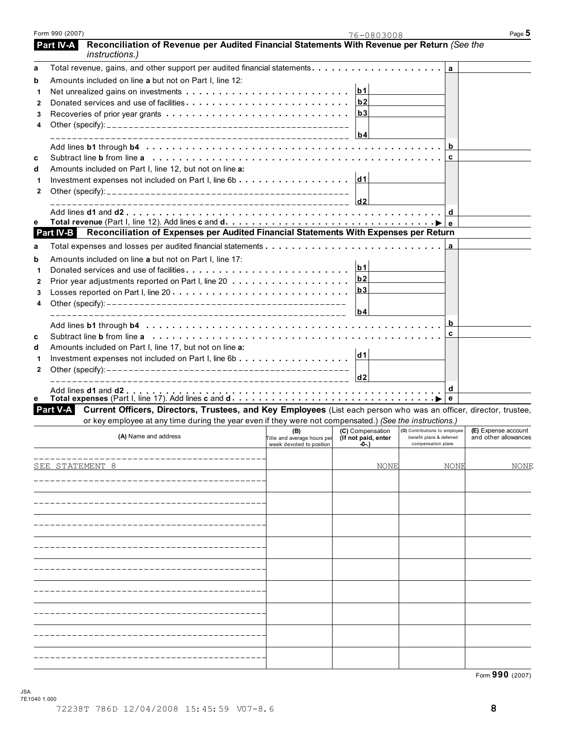|   | <i>instructions.)</i>                                                                                                         |                                    |                                         |                                                           |                                             |
|---|-------------------------------------------------------------------------------------------------------------------------------|------------------------------------|-----------------------------------------|-----------------------------------------------------------|---------------------------------------------|
| a |                                                                                                                               |                                    |                                         | a                                                         |                                             |
| b | Amounts included on line a but not on Part I, line 12:                                                                        |                                    |                                         |                                                           |                                             |
| 1 |                                                                                                                               |                                    | b1                                      |                                                           |                                             |
| 2 | Donated services and use of facilities                                                                                        |                                    | b <sub>2</sub>                          |                                                           |                                             |
| 3 |                                                                                                                               |                                    | b3                                      |                                                           |                                             |
| 4 |                                                                                                                               |                                    |                                         |                                                           |                                             |
|   |                                                                                                                               |                                    | b4                                      |                                                           |                                             |
|   |                                                                                                                               |                                    |                                         | b                                                         |                                             |
| c |                                                                                                                               |                                    |                                         | c                                                         |                                             |
| d | Amounts included on Part I, line 12, but not on line a:                                                                       |                                    |                                         |                                                           |                                             |
| 1 |                                                                                                                               |                                    |                                         |                                                           |                                             |
| 2 |                                                                                                                               |                                    |                                         |                                                           |                                             |
|   |                                                                                                                               |                                    | $\vert$ d2                              |                                                           |                                             |
|   |                                                                                                                               |                                    |                                         | d                                                         |                                             |
| е |                                                                                                                               |                                    |                                         |                                                           |                                             |
|   | Reconciliation of Expenses per Audited Financial Statements With Expenses per Return<br>Part IV-B                             |                                    |                                         |                                                           |                                             |
| a | Total expenses and losses per audited financial statements                                                                    |                                    |                                         | a                                                         |                                             |
| b | Amounts included on line a but not on Part I, line 17:                                                                        |                                    |                                         |                                                           |                                             |
| 1 |                                                                                                                               |                                    | b1                                      |                                                           |                                             |
| 2 |                                                                                                                               |                                    | b2                                      |                                                           |                                             |
| 3 |                                                                                                                               |                                    | b3                                      |                                                           |                                             |
| 4 |                                                                                                                               |                                    |                                         |                                                           |                                             |
|   |                                                                                                                               |                                    | b4                                      |                                                           |                                             |
|   |                                                                                                                               |                                    |                                         | b                                                         |                                             |
| C |                                                                                                                               |                                    |                                         | C                                                         |                                             |
| d | Amounts included on Part I, line 17, but not on line a:                                                                       |                                    |                                         |                                                           |                                             |
| 1 |                                                                                                                               |                                    | d1                                      |                                                           |                                             |
| 2 |                                                                                                                               |                                    |                                         |                                                           |                                             |
|   |                                                                                                                               |                                    | d <sub>2</sub>                          |                                                           |                                             |
|   |                                                                                                                               |                                    |                                         | d                                                         |                                             |
| е |                                                                                                                               |                                    |                                         | e                                                         |                                             |
|   | Part V-A<br>Current Officers, Directors, Trustees, and Key Employees (List each person who was an officer, director, trustee, |                                    |                                         |                                                           |                                             |
|   | or key employee at any time during the year even if they were not compensated.) (See the instructions.)                       |                                    |                                         |                                                           |                                             |
|   | (A) Name and address                                                                                                          | (B)<br>Title and average hours per | (C) Compensation<br>(If not paid, enter | (D) Contributions to employee<br>benefit plans & deferred | (E) Expense account<br>and other allowances |
|   |                                                                                                                               | week devoted to position           | -0-.)                                   | compensation plans                                        |                                             |
|   |                                                                                                                               |                                    |                                         |                                                           |                                             |
|   | SEE STATEMENT                                                                                                                 |                                    | NONE                                    | NONE                                                      | NONE                                        |
|   |                                                                                                                               |                                    |                                         |                                                           |                                             |
|   |                                                                                                                               |                                    |                                         |                                                           |                                             |
|   |                                                                                                                               |                                    |                                         |                                                           |                                             |
|   |                                                                                                                               |                                    |                                         |                                                           |                                             |
|   |                                                                                                                               |                                    |                                         |                                                           |                                             |
|   |                                                                                                                               |                                    |                                         |                                                           |                                             |
|   |                                                                                                                               |                                    |                                         |                                                           |                                             |
|   |                                                                                                                               |                                    |                                         |                                                           |                                             |
|   |                                                                                                                               |                                    |                                         |                                                           |                                             |
|   |                                                                                                                               |                                    |                                         |                                                           |                                             |
|   |                                                                                                                               |                                    |                                         |                                                           |                                             |
|   |                                                                                                                               |                                    |                                         |                                                           |                                             |
|   |                                                                                                                               |                                    |                                         |                                                           |                                             |
|   |                                                                                                                               |                                    |                                         |                                                           |                                             |
|   |                                                                                                                               |                                    |                                         |                                                           |                                             |
|   |                                                                                                                               |                                    |                                         |                                                           |                                             |
|   |                                                                                                                               |                                    |                                         |                                                           |                                             |
|   |                                                                                                                               |                                    |                                         |                                                           |                                             |
|   |                                                                                                                               |                                    |                                         |                                                           | Form 990 (2007)                             |

**Reconciliation of Revenue per Audited Financial Statements With Revenue per Return** *(See the*

 **Part IV-A**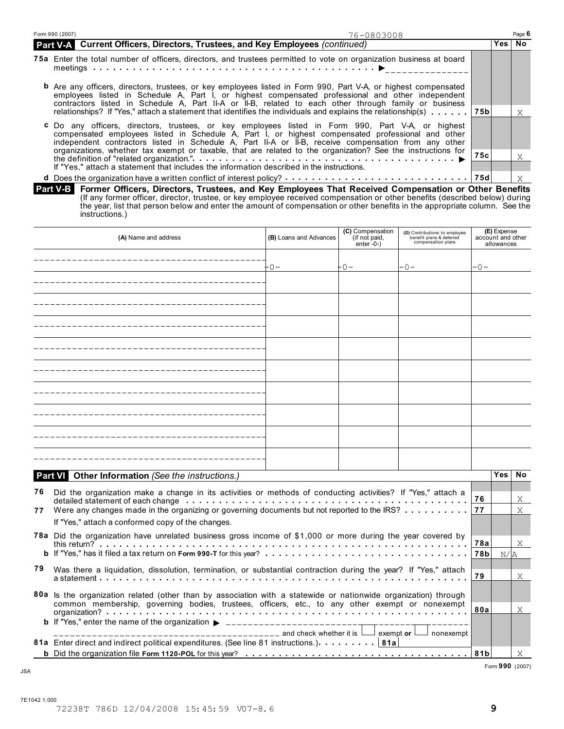| Form 990 (2007)<br>76-0803008 |                                                                                                                                                                                                                                                                                                                                                                                                                                                                                                                                    |     |     | Page 6 |
|-------------------------------|------------------------------------------------------------------------------------------------------------------------------------------------------------------------------------------------------------------------------------------------------------------------------------------------------------------------------------------------------------------------------------------------------------------------------------------------------------------------------------------------------------------------------------|-----|-----|--------|
|                               | Part V-A Current Officers, Directors, Trustees, and Key Employees (continued)                                                                                                                                                                                                                                                                                                                                                                                                                                                      |     | Yes | No     |
|                               | 75a Enter the total number of officers, directors, and trustees permitted to vote on organization business at board                                                                                                                                                                                                                                                                                                                                                                                                                |     |     |        |
|                               | <b>b</b> Are any officers, directors, trustees, or key employees listed in Form 990, Part V-A, or highest compensated<br>employees listed in Schedule A, Part I, or highest compensated professional and other independent<br>contractors listed in Schedule A, Part II-A or II-B, related to each other through family or business                                                                                                                                                                                                |     |     | X      |
|                               | <b>c</b> Do any officers, directors, trustees, or key employees listed in Form 990, Part V-A, or highest<br>compensated employees listed in Schedule A, Part I, or highest compensated professional and other<br>independent contractors listed in Schedule A, Part II-A or II-B, receive compensation from any other<br>organizations, whether tax exempt or taxable, that are related to the organization? See the instructions for<br>If "Yes." attach a statement that includes the information described in the instructions. | 75c |     |        |
|                               |                                                                                                                                                                                                                                                                                                                                                                                                                                                                                                                                    | 75d |     |        |

**Former Officers, Directors, Trustees, and Key Employees That Received Compensation or Other Benefits** (If any former officer, director, trustee, or key employee received compensation or other benefits (described below) during the year, list that person below and enter the amount of compensation or other benefits in the appropriate column. See the instructions.)  **Part V-B** 

| (B) Loans and Advances<br>(A) Name and address |                                                                                                                                                                                                                                     |       | (C) Compensation<br>(if not paid,<br>enter $-0$ - $)$ | (D) Contributions to employee<br>benefit plans & deferred<br>compensation plans |       | (E) Expense<br>account and other<br>allowances |           |
|------------------------------------------------|-------------------------------------------------------------------------------------------------------------------------------------------------------------------------------------------------------------------------------------|-------|-------------------------------------------------------|---------------------------------------------------------------------------------|-------|------------------------------------------------|-----------|
|                                                | _________________________                                                                                                                                                                                                           | - 0 – | +0-                                                   | $-0-$                                                                           | $-0-$ |                                                |           |
|                                                |                                                                                                                                                                                                                                     |       |                                                       |                                                                                 |       |                                                |           |
|                                                |                                                                                                                                                                                                                                     |       |                                                       |                                                                                 |       |                                                |           |
|                                                |                                                                                                                                                                                                                                     |       |                                                       |                                                                                 |       |                                                |           |
|                                                |                                                                                                                                                                                                                                     |       |                                                       |                                                                                 |       |                                                |           |
|                                                |                                                                                                                                                                                                                                     |       |                                                       |                                                                                 |       |                                                |           |
|                                                |                                                                                                                                                                                                                                     |       |                                                       |                                                                                 |       |                                                |           |
|                                                |                                                                                                                                                                                                                                     |       |                                                       |                                                                                 |       |                                                |           |
|                                                |                                                                                                                                                                                                                                     |       |                                                       |                                                                                 |       |                                                |           |
|                                                |                                                                                                                                                                                                                                     |       |                                                       |                                                                                 |       |                                                |           |
|                                                | Part VI Other Information (See the instructions.)                                                                                                                                                                                   |       |                                                       |                                                                                 |       | <b>Yes</b>                                     | <b>No</b> |
| 76                                             | Did the organization make a change in its activities or methods of conducting activities? If "Yes," attach a<br>detailed statement of each change enterprise of the state of the state of the state of the statement of each change |       |                                                       |                                                                                 | 76    |                                                | X         |
| 77                                             | Were any changes made in the organizing or governing documents but not reported to the IRS?<br>If "Yes," attach a conformed copy of the changes.                                                                                    |       |                                                       |                                                                                 | 77    |                                                | X         |
|                                                | 78a Did the organization have unrelated business gross income of \$1,000 or more during the year covered by                                                                                                                         |       |                                                       |                                                                                 | 78a   |                                                | X         |
| 79                                             |                                                                                                                                                                                                                                     |       |                                                       |                                                                                 | 78b   | N/A                                            |           |
|                                                | Was there a liquidation, dissolution, termination, or substantial contraction during the year? If "Yes," attach                                                                                                                     |       |                                                       |                                                                                 |       |                                                |           |
|                                                | 80a Is the organization related (other than by association with a statewide or nationwide organization) through<br>common membership, governing bodies, trustees, officers, etc., to any other exempt or nonexempt                  |       |                                                       |                                                                                 |       |                                                |           |
|                                                |                                                                                                                                                                                                                                     |       |                                                       |                                                                                 | 80a   |                                                | X         |
|                                                | 81a Enter direct and indirect political expenditures. (See line 81 instructions.) 81a                                                                                                                                               |       |                                                       | exempt or $\Box$<br>nonexempt                                                   |       |                                                |           |
|                                                |                                                                                                                                                                                                                                     |       |                                                       |                                                                                 | 81b   |                                                | X         |

Form **990** (2007) JSA

7E1042 1.000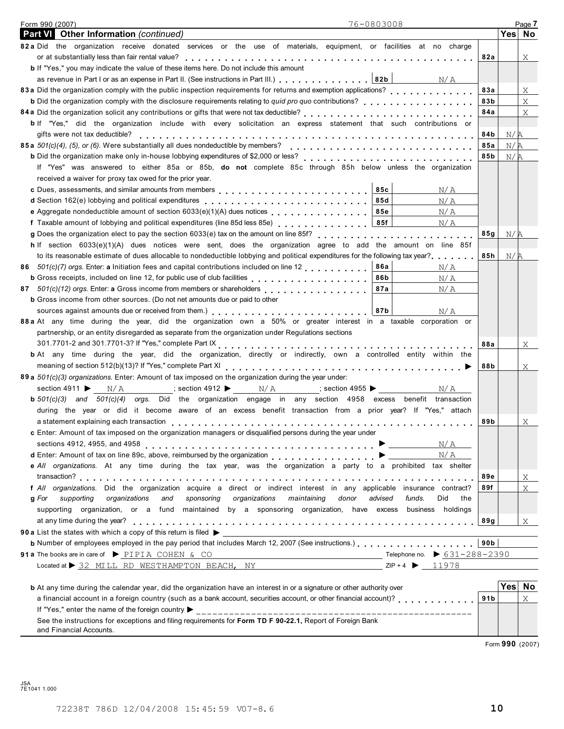| 76-0803008<br>Form 990 (2007)                                                                                                                                                                                                                        |                 |        | Page 7      |
|------------------------------------------------------------------------------------------------------------------------------------------------------------------------------------------------------------------------------------------------------|-----------------|--------|-------------|
| <b>Part VI</b> Other Information (continued)                                                                                                                                                                                                         |                 | Yes No |             |
| 82a Did the organization receive donated services or the use of materials, equipment, or facilities at no charge                                                                                                                                     |                 |        |             |
|                                                                                                                                                                                                                                                      | 82a             |        | Χ           |
| <b>b</b> If "Yes," you may indicate the value of these items here. Do not include this amount                                                                                                                                                        |                 |        |             |
| as revenue in Part I or as an expense in Part II. (See instructions in Part III.) 82b                                                                                                                                                                | N/A             |        |             |
|                                                                                                                                                                                                                                                      | 83a             |        | X           |
| <b>b</b> Did the organization comply with the disclosure requirements relating to quid pro quo contributions?                                                                                                                                        | 83b             |        | $\mathbf X$ |
|                                                                                                                                                                                                                                                      | 84a             |        | Χ           |
| b If "Yes," did the organization include with every solicitation an express statement that such contributions or                                                                                                                                     |                 |        |             |
| gifts were not tax deductible?                                                                                                                                                                                                                       | 84b             | N/A    |             |
| 85a 501(c)(4), (5), or (6). Were substantially all dues nondeductible by members?                                                                                                                                                                    | 85a             | N/A    |             |
| <b>b</b> Did the organization make only in-house lobbying expenditures of \$2,000 or less?                                                                                                                                                           | 85b             | N/R    |             |
| If "Yes" was answered to either 85a or 85b, do not complete 85c through 85h below unless the organization                                                                                                                                            |                 |        |             |
| received a waiver for proxy tax owed for the prior year.                                                                                                                                                                                             |                 |        |             |
| 85c                                                                                                                                                                                                                                                  | N/A             |        |             |
| d Section 162(e) lobbying and political expenditures <b>container and all and section 162</b> (e) lobbying and political expenditures<br>85d                                                                                                         | N/A             |        |             |
| e Aggregate nondeductible amount of section 6033(e)(1)(A) dues notices<br>85e                                                                                                                                                                        | N/A             |        |             |
| f Taxable amount of lobbying and political expenditures (line 85d less 85e) [1] [1] [1] [1] [1] [1] [1] [1] [1<br>85f                                                                                                                                | N/A             |        |             |
| g Does the organization elect to pay the section 6033(e) tax on the amount on line 85f?<br>                                                                                                                                                          | 85g             | N/R    |             |
| h If section $6033(e)(1)(A)$ dues notices were sent, does the organization agree to add the amount on line 85f                                                                                                                                       |                 |        |             |
| to its reasonable estimate of dues allocable to nondeductible lobbying and political expenditures for the following tax year?                                                                                                                        | 85h             | N/R    |             |
| 86 501(c)(7) orgs. Enter: a Initiation fees and capital contributions included on line 12<br>86a                                                                                                                                                     | N/A             |        |             |
| 86b                                                                                                                                                                                                                                                  | N/A             |        |             |
| 87 501(c)(12) orgs. Enter: a Gross income from members or shareholders<br>87a                                                                                                                                                                        | N/A             |        |             |
| <b>b</b> Gross income from other sources. (Do not net amounts due or paid to other                                                                                                                                                                   |                 |        |             |
| 87b                                                                                                                                                                                                                                                  | N/A             |        |             |
| 88 a At any time during the year, did the organization own a 50% or greater interest in a taxable corporation or                                                                                                                                     |                 |        |             |
| partnership, or an entity disregarded as separate from the organization under Regulations sections                                                                                                                                                   |                 |        |             |
| 301.7701-2 and 301.7701-3? If "Yes," complete Part IX<br>experiences and subset of the Sun of Andrea Sun Ann and Sun Association and Sun Ann and Sun Association and Su                                                                              | 88a             |        | X           |
| <b>b</b> At any time during the year, did the organization, directly or indirectly, own a controlled entity within the                                                                                                                               |                 |        |             |
|                                                                                                                                                                                                                                                      |                 |        |             |
| 89 a 501(c)(3) organizations. Enter: Amount of tax imposed on the organization during the year under:                                                                                                                                                | 88b             |        | Χ           |
|                                                                                                                                                                                                                                                      |                 |        |             |
| section 4911 $\blacktriangleright$ N/A<br>$;$ section 4912 $\blacktriangleright$ N/A<br>$;$ section 4955                                                                                                                                             | N/A             |        |             |
| $\mathbf{b}$ 501(c)(3) and 501(c)(4) orgs. Did the organization engage in any section 4958 excess benefit transaction                                                                                                                                |                 |        |             |
| during the year or did it become aware of an excess benefit transaction from a prior year? If "Yes," attach                                                                                                                                          |                 |        |             |
|                                                                                                                                                                                                                                                      | 89b             |        | Χ           |
| c Enter: Amount of tax imposed on the organization managers or disqualified persons during the year under                                                                                                                                            |                 |        |             |
| sections 4912, 4955, and 4958 $\ldots \ldots \ldots \ldots \ldots \ldots \ldots \ldots \ldots \ldots \ldots \ldots \vdots$                                                                                                                           | N/A             |        |             |
| d Enter: Amount of tax on line 89c, above, reimbursed by the organization >                                                                                                                                                                          | N/ A            |        |             |
| e All organizations. At any time during the tax year, was the organization a party to a prohibited tax shelter                                                                                                                                       |                 |        |             |
|                                                                                                                                                                                                                                                      | 89e             |        | X           |
| f All organizations. Did the organization acquire a direct or indirect interest in any applicable insurance contract?                                                                                                                                | 89f             |        | X           |
| supporting organizations and sponsoring organizations maintaining<br>donor<br>advised<br>g For<br>funds.                                                                                                                                             | Did<br>the      |        |             |
| supporting organization, or a fund maintained by a sponsoring organization, have excess business holdings                                                                                                                                            |                 |        |             |
|                                                                                                                                                                                                                                                      | 89g             |        | X           |
|                                                                                                                                                                                                                                                      |                 |        |             |
| <b>b</b> Number of employees employed in the pay period that includes March 12, 2007 (See instructions.)                                                                                                                                             | 90b             |        |             |
| 91 a The books are in care of $\triangleright$ PIPIA COHEN & CO                                                                                                                                                                                      |                 |        |             |
| Located at $\triangleright$ 32 MILL RD WESTHAMPTON BEACH, NY                                                                                                                                                                                         | $ZIP + 4$ 11978 |        |             |
|                                                                                                                                                                                                                                                      |                 | Yes No |             |
| <b>b</b> At any time during the calendar year, did the organization have an interest in or a signature or other authority over<br>a financial account in a foreign country (such as a bank account, securities account, or other financial account)? | 91 <sub>b</sub> |        | X           |
|                                                                                                                                                                                                                                                      |                 |        |             |
|                                                                                                                                                                                                                                                      |                 |        |             |
| See the instructions for exceptions and filing requirements for Form TD F 90-22.1, Report of Foreign Bank                                                                                                                                            |                 |        |             |

and Financial Accounts.

Form **990** (2007)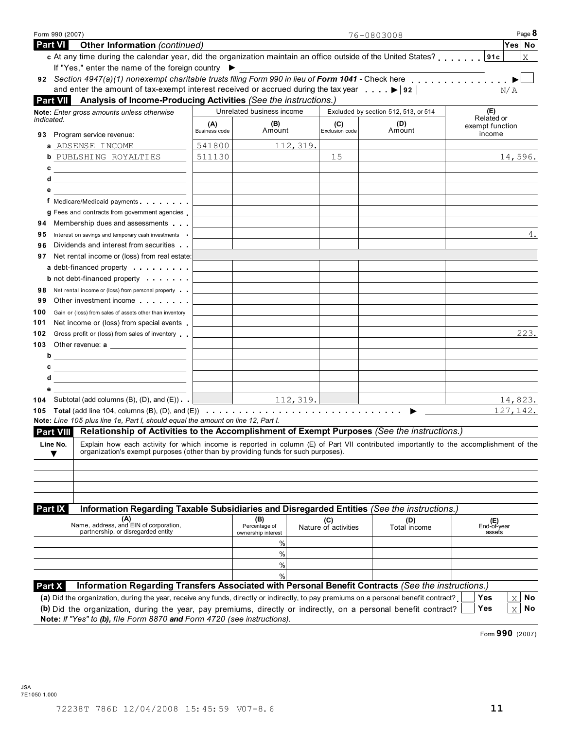| Form 990 (2007)                                                                                                                                                                                                                                           |               |                                     |                      | 76-0803008                           | Page 8                    |
|-----------------------------------------------------------------------------------------------------------------------------------------------------------------------------------------------------------------------------------------------------------|---------------|-------------------------------------|----------------------|--------------------------------------|---------------------------|
| <b>Part VI</b><br><b>Other Information (continued)</b>                                                                                                                                                                                                    |               |                                     |                      |                                      | Yes No                    |
| c At any time during the calendar year, did the organization maintain an office outside of the United States?                                                                                                                                             |               |                                     |                      |                                      | X                         |
| If "Yes," enter the name of the foreign country ▶                                                                                                                                                                                                         |               |                                     |                      |                                      |                           |
| and enter the amount of tax-exempt interest received or accrued during the tax year $\ldots$ , $\blacktriangleright$ 92                                                                                                                                   |               |                                     |                      |                                      |                           |
| <b>Part VII</b><br>Analysis of Income-Producing Activities (See the instructions.)                                                                                                                                                                        |               |                                     |                      |                                      | N/A                       |
| Note: Enter gross amounts unless otherwise                                                                                                                                                                                                                |               | Unrelated business income           |                      | Excluded by section 512, 513, or 514 | (E)                       |
| indicated.                                                                                                                                                                                                                                                | (A)           | (B)                                 | (C)                  | (D)                                  | Related or                |
| Program service revenue:<br>93                                                                                                                                                                                                                            | Business code | Amount                              | Exclusion code       | Amount                               | exempt function<br>income |
| a ADSENSE INCOME                                                                                                                                                                                                                                          | 541800        | 112, 319.                           |                      |                                      |                           |
| <b>b</b> PUBLSHING ROYALTIES                                                                                                                                                                                                                              | 511130        |                                     | 15                   |                                      | 14,596.                   |
| $c \xrightarrow{\hspace*{1.5cm}}$                                                                                                                                                                                                                         |               |                                     |                      |                                      |                           |
|                                                                                                                                                                                                                                                           |               |                                     |                      |                                      |                           |
| е                                                                                                                                                                                                                                                         |               |                                     |                      |                                      |                           |
| f Medicare/Medicaid payments                                                                                                                                                                                                                              |               |                                     |                      |                                      |                           |
| g Fees and contracts from government agencies                                                                                                                                                                                                             |               |                                     |                      |                                      |                           |
| Membership dues and assessments<br>94                                                                                                                                                                                                                     |               |                                     |                      |                                      |                           |
| Interest on savings and temporary cash investments<br>95                                                                                                                                                                                                  |               |                                     |                      |                                      | 4.                        |
| Dividends and interest from securities<br>96                                                                                                                                                                                                              |               |                                     |                      |                                      |                           |
| Net rental income or (loss) from real estate:<br>97                                                                                                                                                                                                       |               |                                     |                      |                                      |                           |
| a debt-financed property                                                                                                                                                                                                                                  |               |                                     |                      |                                      |                           |
| <b>b</b> not debt-financed property                                                                                                                                                                                                                       |               |                                     |                      |                                      |                           |
| Net rental income or (loss) from personal property<br>98                                                                                                                                                                                                  |               |                                     |                      |                                      |                           |
| Other investment income                                                                                                                                                                                                                                   |               |                                     |                      |                                      |                           |
| 100<br>Gain or (loss) from sales of assets other than inventory                                                                                                                                                                                           |               |                                     |                      |                                      |                           |
| Net income or (loss) from special events<br>101                                                                                                                                                                                                           |               |                                     |                      |                                      |                           |
| Gross profit or (loss) from sales of inventory<br>102                                                                                                                                                                                                     |               |                                     |                      |                                      | 223.                      |
|                                                                                                                                                                                                                                                           |               |                                     |                      |                                      |                           |
| <u> 1989 - Johann Barbara, martxa amerikan per</u><br>b                                                                                                                                                                                                   |               |                                     |                      |                                      |                           |
| с<br><u> 2008 - Andrea Andrew Maria (h. 1878).</u>                                                                                                                                                                                                        |               |                                     |                      |                                      |                           |
| d                                                                                                                                                                                                                                                         |               |                                     |                      |                                      |                           |
| е                                                                                                                                                                                                                                                         |               |                                     |                      |                                      |                           |
| <b>104</b> Subtotal (add columns $(B)$ , $(D)$ , and $(E)$ ) $\Box$                                                                                                                                                                                       |               | $\frac{112,319.}{ }$                |                      |                                      | 14,823.<br>127, 142.      |
| Note: Line 105 plus line 1e, Part I, should equal the amount on line 12, Part I.                                                                                                                                                                          |               |                                     |                      |                                      |                           |
| Part VIII Relationship of Activities to the Accomplishment of Exempt Purposes (See the instructions.)                                                                                                                                                     |               |                                     |                      |                                      |                           |
| Line No.<br>Explain how each activity for which income is reported in column (E) of Part VII contributed importantly to the accomplishment of the                                                                                                         |               |                                     |                      |                                      |                           |
| organization's exempt purposes (other than by providing funds for such purposes).                                                                                                                                                                         |               |                                     |                      |                                      |                           |
|                                                                                                                                                                                                                                                           |               |                                     |                      |                                      |                           |
|                                                                                                                                                                                                                                                           |               |                                     |                      |                                      |                           |
|                                                                                                                                                                                                                                                           |               |                                     |                      |                                      |                           |
|                                                                                                                                                                                                                                                           |               |                                     |                      |                                      |                           |
| Information Regarding Taxable Subsidiaries and Disregarded Entities (See the instructions.)<br>Part IX                                                                                                                                                    |               |                                     |                      |                                      |                           |
| (A)<br>Name, address, and EIN of corporation,                                                                                                                                                                                                             |               | (B)                                 | (C)                  | (D)                                  | (E)<br>End-of-year        |
| partnership, or disregarded entity                                                                                                                                                                                                                        |               | Percentage of<br>ownership interest | Nature of activities | Total income                         | assefs                    |
|                                                                                                                                                                                                                                                           |               | %                                   |                      |                                      |                           |
|                                                                                                                                                                                                                                                           |               | %                                   |                      |                                      |                           |
|                                                                                                                                                                                                                                                           |               | %                                   |                      |                                      |                           |
|                                                                                                                                                                                                                                                           |               |                                     |                      |                                      |                           |
|                                                                                                                                                                                                                                                           |               | %                                   |                      |                                      |                           |
| Information Regarding Transfers Associated with Personal Benefit Contracts (See the instructions.)<br><b>Part X</b>                                                                                                                                       |               |                                     |                      |                                      |                           |
| (a) Did the organization, during the year, receive any funds, directly or indirectly, to pay premiums on a personal benefit contract?<br>(b) Did the organization, during the year, pay premiums, directly or indirectly, on a personal benefit contract? |               |                                     |                      |                                      | Yes<br>No<br>X            |

Form **990** (2007)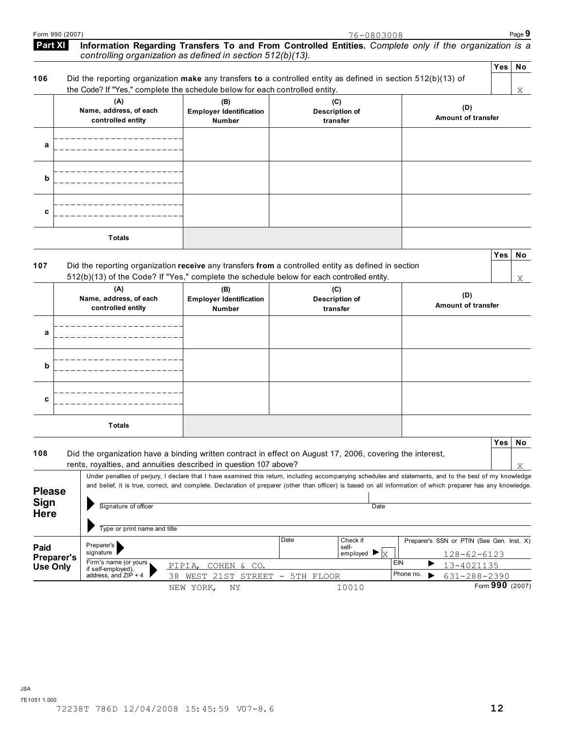**Yes No**

X

### **Information Regarding Transfers To and From Controlled Entities.** *Complete only if the organization is a controlling organization as defined in section 512(b)(13).*   **Part XI Yes No**

|     |                                                                                                                | . |
|-----|----------------------------------------------------------------------------------------------------------------|---|
| 106 | Did the reporting organization make any transfers to a controlled entity as defined in section $512(b)(13)$ of |   |
|     | the Code? If "Yes." complete the schedule below for each controlled entity.                                    |   |

|   | the Code? If "Yes," complete the schedule below for each controlled entity. |                                                        |                                          |                           | X |
|---|-----------------------------------------------------------------------------|--------------------------------------------------------|------------------------------------------|---------------------------|---|
|   | (A)<br>Name, address, of each<br>controlled entity                          | (B)<br><b>Employer Identification</b><br><b>Number</b> | (C)<br><b>Description of</b><br>transfer | (D)<br>Amount of transfer |   |
| a |                                                                             |                                                        |                                          |                           |   |
| b |                                                                             |                                                        |                                          |                           |   |
| c |                                                                             |                                                        |                                          |                           |   |
|   | <b>Totals</b>                                                               |                                                        |                                          |                           |   |

## **107** Did the reporting organization **receive** any transfers **from** a controlled entity as defined in section 512(b)(13) of the Code? If "Yes," complete the schedule below for each controlled entity.

NEW YORK, NY

|   | (A)<br>Name, address, of each<br>controlled entity | (B)<br><b>Employer Identification</b><br>Number | (C)<br><b>Description of</b><br>transfer | (D)<br><b>Amount of transfer</b> |
|---|----------------------------------------------------|-------------------------------------------------|------------------------------------------|----------------------------------|
| a |                                                    |                                                 |                                          |                                  |
| b |                                                    |                                                 |                                          |                                  |
| c |                                                    |                                                 |                                          |                                  |
|   | <b>Totals</b>                                      |                                                 |                                          |                                  |

|                                             |                                                      |                                                                                                                                                                                                                                                                                                                          |                          |           |                                                              |           |   |                                                                | <b>Yes</b> | No |
|---------------------------------------------|------------------------------------------------------|--------------------------------------------------------------------------------------------------------------------------------------------------------------------------------------------------------------------------------------------------------------------------------------------------------------------------|--------------------------|-----------|--------------------------------------------------------------|-----------|---|----------------------------------------------------------------|------------|----|
| 108                                         |                                                      | Did the organization have a binding written contract in effect on August 17, 2006, covering the interest,                                                                                                                                                                                                                |                          |           |                                                              |           |   |                                                                |            |    |
|                                             |                                                      | rents, royalties, and annuities described in question 107 above?                                                                                                                                                                                                                                                         |                          |           |                                                              |           |   |                                                                |            | X  |
| <b>Please</b><br><b>Sign</b><br><b>Here</b> | Signature of officer<br>Type or print name and title | Under penalties of perjury, I declare that I have examined this return, including accompanying schedules and statements, and to the best of my knowledge<br>and belief, it is true, correct, and complete. Declaration of preparer (other than officer) is based on all information of which preparer has any knowledge. |                          |           |                                                              | Date      |   |                                                                |            |    |
| Paid<br><b>Preparer's</b>                   | Preparer's<br>signature                              |                                                                                                                                                                                                                                                                                                                          | Date                     |           | Check if<br>self-<br>employed $\blacktriangleright$ $\mid$ x |           |   | Preparer's SSN or PTIN (See Gen. Inst. X)<br>$128 - 62 - 6123$ |            |    |
| Use Only                                    | Firm's name (or yours<br>if self-employed),          | COHEN & CO.<br>PIPIA.                                                                                                                                                                                                                                                                                                    |                          |           |                                                              | EIN       | ▶ | 13-4021135                                                     |            |    |
|                                             | address, and $ZIP + 4$                               | 38.<br>WEST 21ST STREET                                                                                                                                                                                                                                                                                                  | $\overline{\phantom{a}}$ | 5TH FLOOR |                                                              | Phone no. |   | 631-288-2390                                                   |            |    |

10010

Form **990** (2007)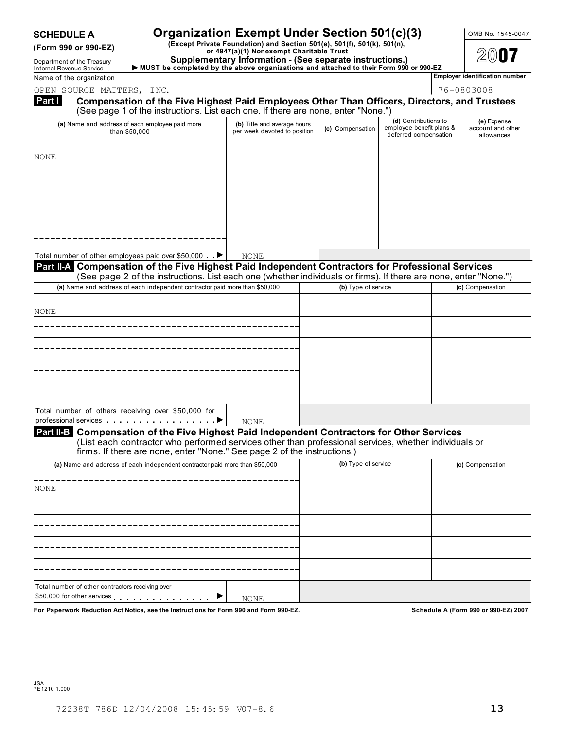# **SCHEDULE A Companization Exempt Under Section 501(c)(3)** OMB No. 1545-0047

(Form 990 or 990-EZ) (Except Private Foundation) and Section 501(e), 501(f), 501(k), 501(n),<br>or 4947(a)(1) Nonexempt Charitable Trust<br>Department of the Treasury (Supplementary Information - (See separate instructions.)

**Department of the Treasury and Supplementary Information - (See separate instructions.)**<br>Internal Revenue Service ▶ MUST be completed by the above organizations and attached to their Form 990 or 990-EZ<br>Name of the orga

| Compensation of the Five Highest Paid Employees Other Than Officers, Directors, and Trustees                                                                                                                                   |                                                                                                            |                                                                                                                                                                           |                                                             |                                                                                              |                                            |                                                                                                                                                                                                                                                                                                                                                                                                                                                                                                           |
|--------------------------------------------------------------------------------------------------------------------------------------------------------------------------------------------------------------------------------|------------------------------------------------------------------------------------------------------------|---------------------------------------------------------------------------------------------------------------------------------------------------------------------------|-------------------------------------------------------------|----------------------------------------------------------------------------------------------|--------------------------------------------|-----------------------------------------------------------------------------------------------------------------------------------------------------------------------------------------------------------------------------------------------------------------------------------------------------------------------------------------------------------------------------------------------------------------------------------------------------------------------------------------------------------|
|                                                                                                                                                                                                                                | (See page 1 of the instructions. List each one. If there are none, enter "None.")                          |                                                                                                                                                                           |                                                             |                                                                                              |                                            |                                                                                                                                                                                                                                                                                                                                                                                                                                                                                                           |
| (a) Name and address of each employee paid more<br>than \$50,000                                                                                                                                                               |                                                                                                            |                                                                                                                                                                           |                                                             |                                                                                              |                                            | (e) Expense<br>account and other<br>allowances                                                                                                                                                                                                                                                                                                                                                                                                                                                            |
|                                                                                                                                                                                                                                |                                                                                                            |                                                                                                                                                                           |                                                             |                                                                                              |                                            |                                                                                                                                                                                                                                                                                                                                                                                                                                                                                                           |
|                                                                                                                                                                                                                                |                                                                                                            |                                                                                                                                                                           |                                                             |                                                                                              |                                            |                                                                                                                                                                                                                                                                                                                                                                                                                                                                                                           |
|                                                                                                                                                                                                                                |                                                                                                            |                                                                                                                                                                           |                                                             |                                                                                              |                                            |                                                                                                                                                                                                                                                                                                                                                                                                                                                                                                           |
|                                                                                                                                                                                                                                |                                                                                                            |                                                                                                                                                                           |                                                             |                                                                                              |                                            |                                                                                                                                                                                                                                                                                                                                                                                                                                                                                                           |
|                                                                                                                                                                                                                                |                                                                                                            |                                                                                                                                                                           |                                                             |                                                                                              |                                            |                                                                                                                                                                                                                                                                                                                                                                                                                                                                                                           |
|                                                                                                                                                                                                                                |                                                                                                            |                                                                                                                                                                           |                                                             |                                                                                              |                                            |                                                                                                                                                                                                                                                                                                                                                                                                                                                                                                           |
|                                                                                                                                                                                                                                |                                                                                                            |                                                                                                                                                                           |                                                             |                                                                                              |                                            |                                                                                                                                                                                                                                                                                                                                                                                                                                                                                                           |
|                                                                                                                                                                                                                                |                                                                                                            |                                                                                                                                                                           |                                                             |                                                                                              |                                            |                                                                                                                                                                                                                                                                                                                                                                                                                                                                                                           |
|                                                                                                                                                                                                                                |                                                                                                            |                                                                                                                                                                           |                                                             |                                                                                              |                                            |                                                                                                                                                                                                                                                                                                                                                                                                                                                                                                           |
|                                                                                                                                                                                                                                |                                                                                                            |                                                                                                                                                                           |                                                             |                                                                                              |                                            | (c) Compensation                                                                                                                                                                                                                                                                                                                                                                                                                                                                                          |
|                                                                                                                                                                                                                                |                                                                                                            |                                                                                                                                                                           |                                                             |                                                                                              |                                            |                                                                                                                                                                                                                                                                                                                                                                                                                                                                                                           |
|                                                                                                                                                                                                                                |                                                                                                            |                                                                                                                                                                           |                                                             |                                                                                              |                                            |                                                                                                                                                                                                                                                                                                                                                                                                                                                                                                           |
|                                                                                                                                                                                                                                |                                                                                                            |                                                                                                                                                                           |                                                             |                                                                                              |                                            |                                                                                                                                                                                                                                                                                                                                                                                                                                                                                                           |
|                                                                                                                                                                                                                                |                                                                                                            |                                                                                                                                                                           |                                                             |                                                                                              |                                            |                                                                                                                                                                                                                                                                                                                                                                                                                                                                                                           |
|                                                                                                                                                                                                                                |                                                                                                            |                                                                                                                                                                           |                                                             |                                                                                              |                                            |                                                                                                                                                                                                                                                                                                                                                                                                                                                                                                           |
|                                                                                                                                                                                                                                |                                                                                                            |                                                                                                                                                                           |                                                             |                                                                                              |                                            |                                                                                                                                                                                                                                                                                                                                                                                                                                                                                                           |
|                                                                                                                                                                                                                                |                                                                                                            |                                                                                                                                                                           |                                                             |                                                                                              |                                            |                                                                                                                                                                                                                                                                                                                                                                                                                                                                                                           |
| professional services extending to the services of the services of the service of the service of the service of the service of the service of the service of the service of the service of the service of the service of the s | <b>NONE</b>                                                                                                |                                                                                                                                                                           |                                                             |                                                                                              |                                            |                                                                                                                                                                                                                                                                                                                                                                                                                                                                                                           |
|                                                                                                                                                                                                                                |                                                                                                            |                                                                                                                                                                           |                                                             |                                                                                              |                                            |                                                                                                                                                                                                                                                                                                                                                                                                                                                                                                           |
|                                                                                                                                                                                                                                |                                                                                                            |                                                                                                                                                                           |                                                             |                                                                                              |                                            | (c) Compensation                                                                                                                                                                                                                                                                                                                                                                                                                                                                                          |
|                                                                                                                                                                                                                                |                                                                                                            |                                                                                                                                                                           |                                                             |                                                                                              |                                            |                                                                                                                                                                                                                                                                                                                                                                                                                                                                                                           |
|                                                                                                                                                                                                                                |                                                                                                            |                                                                                                                                                                           |                                                             |                                                                                              |                                            |                                                                                                                                                                                                                                                                                                                                                                                                                                                                                                           |
|                                                                                                                                                                                                                                |                                                                                                            |                                                                                                                                                                           |                                                             |                                                                                              |                                            |                                                                                                                                                                                                                                                                                                                                                                                                                                                                                                           |
|                                                                                                                                                                                                                                |                                                                                                            |                                                                                                                                                                           |                                                             |                                                                                              |                                            |                                                                                                                                                                                                                                                                                                                                                                                                                                                                                                           |
|                                                                                                                                                                                                                                |                                                                                                            |                                                                                                                                                                           |                                                             |                                                                                              |                                            |                                                                                                                                                                                                                                                                                                                                                                                                                                                                                                           |
|                                                                                                                                                                                                                                |                                                                                                            |                                                                                                                                                                           |                                                             |                                                                                              |                                            |                                                                                                                                                                                                                                                                                                                                                                                                                                                                                                           |
|                                                                                                                                                                                                                                |                                                                                                            |                                                                                                                                                                           |                                                             |                                                                                              |                                            |                                                                                                                                                                                                                                                                                                                                                                                                                                                                                                           |
| Total number of other contractors receiving over                                                                                                                                                                               | <b>NONE</b>                                                                                                |                                                                                                                                                                           |                                                             |                                                                                              |                                            |                                                                                                                                                                                                                                                                                                                                                                                                                                                                                                           |
|                                                                                                                                                                                                                                | Total number of other employees paid over \$50,000 ►<br>Total number of others receiving over \$50,000 for | <b>NONE</b><br>(a) Name and address of each independent contractor paid more than \$50,000<br>(a) Name and address of each independent contractor paid more than \$50,000 | (b) Title and average hours<br>per week devoted to position | (c) Compensation<br>firms. If there are none, enter "None." See page 2 of the instructions.) | (b) Type of service<br>(b) Type of service | (d) Contributions to<br>employee benefit plans &<br>deferred compensation<br>Part II-A Compensation of the Five Highest Paid Independent Contractors for Professional Services<br>(See page 2 of the instructions. List each one (whether individuals or firms). If there are none, enter "None.")<br>Part II-B Compensation of the Five Highest Paid Independent Contractors for Other Services<br>(List each contractor who performed services other than professional services, whether individuals or |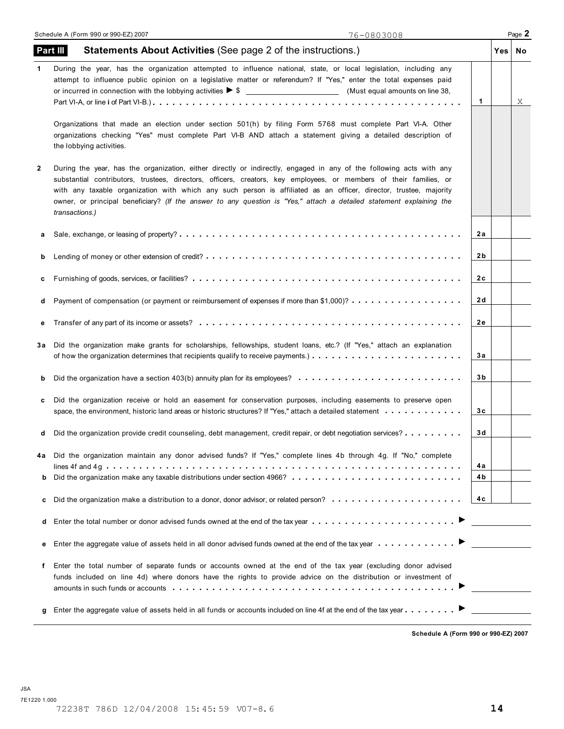Т

| 1                                                                                                                                                                                           |                                                                                                                                                              | Χ |
|---------------------------------------------------------------------------------------------------------------------------------------------------------------------------------------------|--------------------------------------------------------------------------------------------------------------------------------------------------------------|---|
|                                                                                                                                                                                             |                                                                                                                                                              |   |
|                                                                                                                                                                                             |                                                                                                                                                              |   |
| 2a                                                                                                                                                                                          |                                                                                                                                                              |   |
| 2 b                                                                                                                                                                                         |                                                                                                                                                              |   |
| 2c                                                                                                                                                                                          |                                                                                                                                                              |   |
| 2 d                                                                                                                                                                                         |                                                                                                                                                              |   |
| 2е                                                                                                                                                                                          |                                                                                                                                                              |   |
| За                                                                                                                                                                                          |                                                                                                                                                              |   |
| 3b                                                                                                                                                                                          |                                                                                                                                                              |   |
| 3с                                                                                                                                                                                          |                                                                                                                                                              |   |
| 3 d                                                                                                                                                                                         |                                                                                                                                                              |   |
| 4a                                                                                                                                                                                          |                                                                                                                                                              |   |
|                                                                                                                                                                                             |                                                                                                                                                              |   |
|                                                                                                                                                                                             |                                                                                                                                                              |   |
|                                                                                                                                                                                             |                                                                                                                                                              |   |
|                                                                                                                                                                                             |                                                                                                                                                              |   |
|                                                                                                                                                                                             |                                                                                                                                                              |   |
|                                                                                                                                                                                             |                                                                                                                                                              |   |
| Did the organization have a section 403(b) annuity plan for its employees?<br>Did the organization provide credit counseling, debt management, credit repair, or debt negotiation services? | 4 b<br>4c<br>Enter the total number or donor advised funds owned at the end of the tax year<br>amounts in such funds or accounts ……………………………………………………………………… |   |

**Schedule A (Form 990 or 990-EZ) 2007**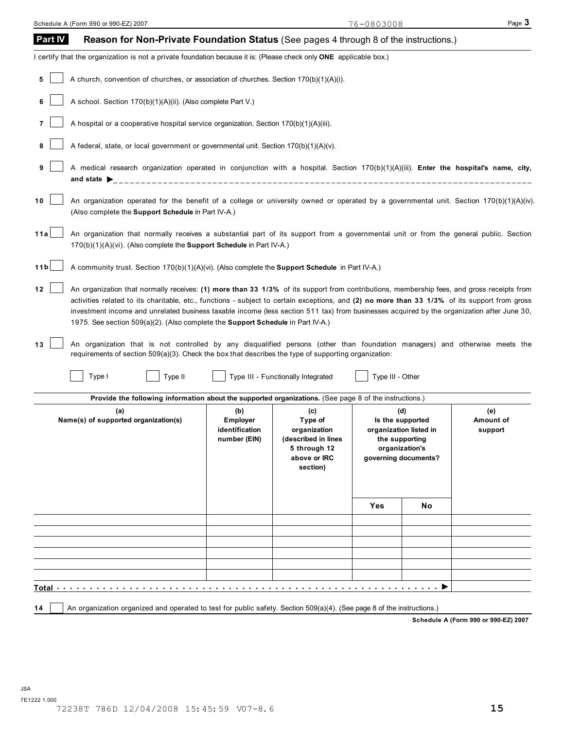| Part IV         | Reason for Non-Private Foundation Status (See pages 4 through 8 of the instructions.)                                                                                                                                                                                                                                                                                                                                                                                                                                                                                                                                                                                                                                                                                     |                                                          |                                                                                                   |                  |                                                                                                               |                             |
|-----------------|---------------------------------------------------------------------------------------------------------------------------------------------------------------------------------------------------------------------------------------------------------------------------------------------------------------------------------------------------------------------------------------------------------------------------------------------------------------------------------------------------------------------------------------------------------------------------------------------------------------------------------------------------------------------------------------------------------------------------------------------------------------------------|----------------------------------------------------------|---------------------------------------------------------------------------------------------------|------------------|---------------------------------------------------------------------------------------------------------------|-----------------------------|
|                 | I certify that the organization is not a private foundation because it is: (Please check only ONE applicable box.)                                                                                                                                                                                                                                                                                                                                                                                                                                                                                                                                                                                                                                                        |                                                          |                                                                                                   |                  |                                                                                                               |                             |
| 5               | A church, convention of churches, or association of churches. Section 170(b)(1)(A)(i).                                                                                                                                                                                                                                                                                                                                                                                                                                                                                                                                                                                                                                                                                    |                                                          |                                                                                                   |                  |                                                                                                               |                             |
|                 | A school. Section 170(b)(1)(A)(ii). (Also complete Part V.)                                                                                                                                                                                                                                                                                                                                                                                                                                                                                                                                                                                                                                                                                                               |                                                          |                                                                                                   |                  |                                                                                                               |                             |
|                 | A hospital or a cooperative hospital service organization. Section 170(b)(1)(A)(iii).                                                                                                                                                                                                                                                                                                                                                                                                                                                                                                                                                                                                                                                                                     |                                                          |                                                                                                   |                  |                                                                                                               |                             |
| 8               | A federal, state, or local government or governmental unit. Section 170(b)(1)(A)(v).                                                                                                                                                                                                                                                                                                                                                                                                                                                                                                                                                                                                                                                                                      |                                                          |                                                                                                   |                  |                                                                                                               |                             |
| 9               | A medical research organization operated in conjunction with a hospital. Section 170(b)(1)(A)(iii). Enter the hospital's name, city,                                                                                                                                                                                                                                                                                                                                                                                                                                                                                                                                                                                                                                      |                                                          |                                                                                                   |                  |                                                                                                               |                             |
| 10              | An organization operated for the benefit of a college or university owned or operated by a governmental unit. Section 170(b)(1)(A)(iv).<br>(Also complete the <b>Support Schedule</b> in Part IV-A.)                                                                                                                                                                                                                                                                                                                                                                                                                                                                                                                                                                      |                                                          |                                                                                                   |                  |                                                                                                               |                             |
| 11a             | An organization that normally receives a substantial part of its support from a governmental unit or from the general public. Section<br>170(b)(1)(A)(vi). (Also complete the Support Schedule in Part IV-A.)                                                                                                                                                                                                                                                                                                                                                                                                                                                                                                                                                             |                                                          |                                                                                                   |                  |                                                                                                               |                             |
| 11 <sub>b</sub> | A community trust. Section 170(b)(1)(A)(vi). (Also complete the Support Schedule in Part IV-A.)                                                                                                                                                                                                                                                                                                                                                                                                                                                                                                                                                                                                                                                                           |                                                          |                                                                                                   |                  |                                                                                                               |                             |
| 12<br>13        | An organization that normally receives: (1) more than 33 1/3% of its support from contributions, membership fees, and gross receipts from<br>activities related to its charitable, etc., functions - subject to certain exceptions, and (2) no more than 33 1/3% of its support from gross<br>investment income and unrelated business taxable income (less section 511 tax) from businesses acquired by the organization after June 30,<br>1975. See section 509(a)(2). (Also complete the <b>Support Schedule</b> in Part IV-A.)<br>An organization that is not controlled by any disqualified persons (other than foundation managers) and otherwise meets the<br>requirements of section 509(a)(3). Check the box that describes the type of supporting organization: |                                                          |                                                                                                   |                  |                                                                                                               |                             |
|                 | Type I<br>Type II                                                                                                                                                                                                                                                                                                                                                                                                                                                                                                                                                                                                                                                                                                                                                         |                                                          | Type III - Functionally Integrated                                                                | Type III - Other |                                                                                                               |                             |
|                 | Provide the following information about the supported organizations. (See page 8 of the instructions.)                                                                                                                                                                                                                                                                                                                                                                                                                                                                                                                                                                                                                                                                    |                                                          |                                                                                                   |                  |                                                                                                               |                             |
|                 | (a)<br>Name(s) of supported organization(s)                                                                                                                                                                                                                                                                                                                                                                                                                                                                                                                                                                                                                                                                                                                               | (b)<br><b>Employer</b><br>identification<br>number (EIN) | (c)<br>Type of<br>organization<br>(described in lines<br>5 through 12<br>above or IRC<br>section) |                  | (d)<br>Is the supported<br>organization listed in<br>the supporting<br>organization's<br>governing documents? | (e)<br>Amount of<br>support |
|                 |                                                                                                                                                                                                                                                                                                                                                                                                                                                                                                                                                                                                                                                                                                                                                                           |                                                          |                                                                                                   | Yes              | No                                                                                                            |                             |
|                 |                                                                                                                                                                                                                                                                                                                                                                                                                                                                                                                                                                                                                                                                                                                                                                           |                                                          |                                                                                                   |                  |                                                                                                               |                             |
|                 |                                                                                                                                                                                                                                                                                                                                                                                                                                                                                                                                                                                                                                                                                                                                                                           |                                                          |                                                                                                   |                  |                                                                                                               |                             |
|                 |                                                                                                                                                                                                                                                                                                                                                                                                                                                                                                                                                                                                                                                                                                                                                                           |                                                          |                                                                                                   |                  |                                                                                                               |                             |
|                 |                                                                                                                                                                                                                                                                                                                                                                                                                                                                                                                                                                                                                                                                                                                                                                           |                                                          |                                                                                                   |                  |                                                                                                               |                             |
|                 | Total the control of the control of the control of the control of the control of the control of the control of                                                                                                                                                                                                                                                                                                                                                                                                                                                                                                                                                                                                                                                            |                                                          |                                                                                                   | .                |                                                                                                               |                             |
| 14              | An organization organized and operated to test for public safety. Section 509(a)(4). (See page 8 of the instructions.)                                                                                                                                                                                                                                                                                                                                                                                                                                                                                                                                                                                                                                                    |                                                          |                                                                                                   |                  |                                                                                                               |                             |

**Schedule A (Form 990 or 990-EZ) 2007**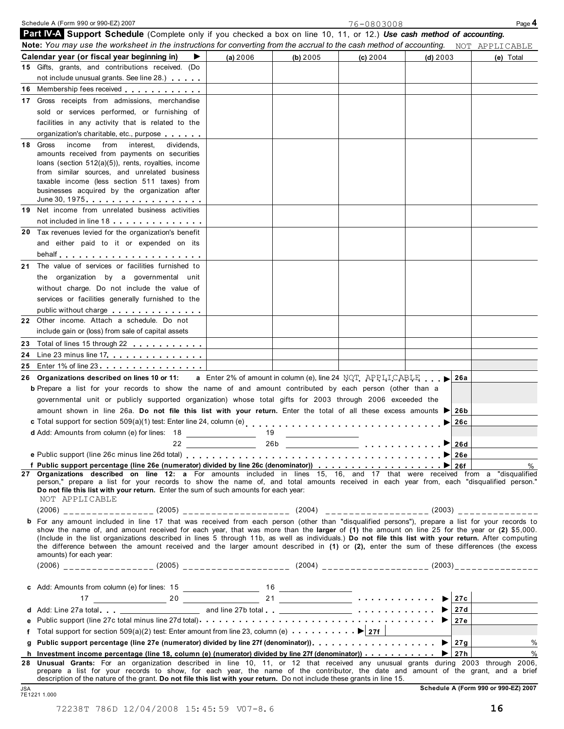| <b>Part IV-A Support Schedule</b> (Complete only if you checked a box on line 10, 11, or 12.) Use cash method of accounting.<br>Note: You may use the worksheet in the instructions for converting from the accrual to the cash method of accounting. NOT APPLICABLE                                                                                                                               |                                                                                                                       |                                              |                                                                                  |            |     |           |
|----------------------------------------------------------------------------------------------------------------------------------------------------------------------------------------------------------------------------------------------------------------------------------------------------------------------------------------------------------------------------------------------------|-----------------------------------------------------------------------------------------------------------------------|----------------------------------------------|----------------------------------------------------------------------------------|------------|-----|-----------|
| Calendar year (or fiscal year beginning in)<br>▶                                                                                                                                                                                                                                                                                                                                                   | (a) 2006                                                                                                              | (b) 2005                                     | (c) 2004                                                                         | $(d)$ 2003 |     | (e) Total |
| 15 Gifts, grants, and contributions received. (Do                                                                                                                                                                                                                                                                                                                                                  |                                                                                                                       |                                              |                                                                                  |            |     |           |
| not include unusual grants. See line 28.)                                                                                                                                                                                                                                                                                                                                                          |                                                                                                                       |                                              |                                                                                  |            |     |           |
| 16 Membership fees received                                                                                                                                                                                                                                                                                                                                                                        |                                                                                                                       |                                              |                                                                                  |            |     |           |
| 17 Gross receipts from admissions, merchandise                                                                                                                                                                                                                                                                                                                                                     |                                                                                                                       |                                              |                                                                                  |            |     |           |
| sold or services performed, or furnishing of                                                                                                                                                                                                                                                                                                                                                       |                                                                                                                       |                                              |                                                                                  |            |     |           |
|                                                                                                                                                                                                                                                                                                                                                                                                    |                                                                                                                       |                                              |                                                                                  |            |     |           |
| facilities in any activity that is related to the                                                                                                                                                                                                                                                                                                                                                  |                                                                                                                       |                                              |                                                                                  |            |     |           |
| organization's charitable, etc., purpose                                                                                                                                                                                                                                                                                                                                                           |                                                                                                                       |                                              |                                                                                  |            |     |           |
| 18 Gross<br>income from interest.<br>dividends,                                                                                                                                                                                                                                                                                                                                                    |                                                                                                                       |                                              |                                                                                  |            |     |           |
| amounts received from payments on securities<br>loans (section 512(a)(5)), rents, royalties, income                                                                                                                                                                                                                                                                                                |                                                                                                                       |                                              |                                                                                  |            |     |           |
| from similar sources, and unrelated business                                                                                                                                                                                                                                                                                                                                                       |                                                                                                                       |                                              |                                                                                  |            |     |           |
| taxable income (less section 511 taxes) from                                                                                                                                                                                                                                                                                                                                                       |                                                                                                                       |                                              |                                                                                  |            |     |           |
| businesses acquired by the organization after                                                                                                                                                                                                                                                                                                                                                      |                                                                                                                       |                                              |                                                                                  |            |     |           |
| June 30, 1975.                                                                                                                                                                                                                                                                                                                                                                                     |                                                                                                                       |                                              |                                                                                  |            |     |           |
| 19 Net income from unrelated business activities                                                                                                                                                                                                                                                                                                                                                   |                                                                                                                       |                                              |                                                                                  |            |     |           |
| not included in line 18                                                                                                                                                                                                                                                                                                                                                                            |                                                                                                                       |                                              |                                                                                  |            |     |           |
| 20 Tax revenues levied for the organization's benefit                                                                                                                                                                                                                                                                                                                                              |                                                                                                                       |                                              |                                                                                  |            |     |           |
| and either paid to it or expended on its                                                                                                                                                                                                                                                                                                                                                           |                                                                                                                       |                                              |                                                                                  |            |     |           |
|                                                                                                                                                                                                                                                                                                                                                                                                    |                                                                                                                       |                                              |                                                                                  |            |     |           |
| The value of services or facilities furnished to<br>21                                                                                                                                                                                                                                                                                                                                             |                                                                                                                       |                                              |                                                                                  |            |     |           |
| the organization by a governmental unit                                                                                                                                                                                                                                                                                                                                                            |                                                                                                                       |                                              |                                                                                  |            |     |           |
| without charge. Do not include the value of                                                                                                                                                                                                                                                                                                                                                        |                                                                                                                       |                                              |                                                                                  |            |     |           |
|                                                                                                                                                                                                                                                                                                                                                                                                    |                                                                                                                       |                                              |                                                                                  |            |     |           |
| services or facilities generally furnished to the                                                                                                                                                                                                                                                                                                                                                  |                                                                                                                       |                                              |                                                                                  |            |     |           |
| public without charge expansion of the state of the state of the state of the state of the state of the state o                                                                                                                                                                                                                                                                                    |                                                                                                                       |                                              |                                                                                  |            |     |           |
| 22 Other income. Attach a schedule. Do not                                                                                                                                                                                                                                                                                                                                                         |                                                                                                                       |                                              |                                                                                  |            |     |           |
| include gain or (loss) from sale of capital assets                                                                                                                                                                                                                                                                                                                                                 |                                                                                                                       |                                              |                                                                                  |            |     |           |
| Total of lines 15 through 22<br>23                                                                                                                                                                                                                                                                                                                                                                 |                                                                                                                       |                                              |                                                                                  |            |     |           |
| 24 Line 23 minus line 17                                                                                                                                                                                                                                                                                                                                                                           |                                                                                                                       |                                              |                                                                                  |            |     |           |
| 25 Enter 1% of line 23                                                                                                                                                                                                                                                                                                                                                                             |                                                                                                                       |                                              |                                                                                  |            |     |           |
| 26 Organizations described on lines 10 or 11:                                                                                                                                                                                                                                                                                                                                                      |                                                                                                                       |                                              | <b>a</b> Enter 2% of amount in column (e), line 24 NOT APPLICABLE $\blacksquare$ |            | 26a |           |
| <b>b</b> Prepare a list for your records to show the name of and amount contributed by each person (other than a                                                                                                                                                                                                                                                                                   |                                                                                                                       |                                              |                                                                                  |            |     |           |
| governmental unit or publicly supported organization) whose total gifts for 2003 through 2006 exceeded the                                                                                                                                                                                                                                                                                         |                                                                                                                       |                                              |                                                                                  |            |     |           |
| amount shown in line 26a. Do not file this list with your return. Enter the total of all these excess amounts                                                                                                                                                                                                                                                                                      |                                                                                                                       |                                              |                                                                                  |            | 26b |           |
|                                                                                                                                                                                                                                                                                                                                                                                                    |                                                                                                                       |                                              |                                                                                  | ▶          | 26c |           |
| d Add: Amounts from column (e) for lines: 18                                                                                                                                                                                                                                                                                                                                                       | 19                                                                                                                    | <u> The Common State Common State Common</u> |                                                                                  |            |     |           |
| 22                                                                                                                                                                                                                                                                                                                                                                                                 |                                                                                                                       |                                              |                                                                                  |            |     |           |
|                                                                                                                                                                                                                                                                                                                                                                                                    | <u> 1989 - John Harry Harry Harry Harry Harry Harry Harry Harry Harry Harry Harry Harry Harry Harry Harry Harry H</u> |                                              |                                                                                  |            |     |           |
|                                                                                                                                                                                                                                                                                                                                                                                                    |                                                                                                                       |                                              |                                                                                  |            |     | %         |
| 27 Organizations described on line 12: a For amounts included in lines 15, 16, and 17 that were received from a "disqualified                                                                                                                                                                                                                                                                      |                                                                                                                       |                                              |                                                                                  |            |     |           |
| person," prepare a list for your records to show the name of, and total amounts received in each year from, each "disqualified person."<br>Do not file this list with your return. Enter the sum of such amounts for each year:<br>NOT APPLICABLE                                                                                                                                                  |                                                                                                                       |                                              |                                                                                  |            |     |           |
| (2006) __________________ (2005) _________________________(2004) ______________________(2003)_________________                                                                                                                                                                                                                                                                                     |                                                                                                                       |                                              |                                                                                  |            |     |           |
| b For any amount included in line 17 that was received from each person (other than "disqualified persons"), prepare a list for your records to                                                                                                                                                                                                                                                    |                                                                                                                       |                                              |                                                                                  |            |     |           |
| show the name of, and amount received for each year, that was more than the larger of (1) the amount on line 25 for the year or (2) \$5,000.                                                                                                                                                                                                                                                       |                                                                                                                       |                                              |                                                                                  |            |     |           |
| (Include in the list organizations described in lines 5 through 11b, as well as individuals.) Do not file this list with your return. After computing<br>the difference between the amount received and the larger amount described in (1) or (2), enter the sum of these differences (the excess                                                                                                  |                                                                                                                       |                                              |                                                                                  |            |     |           |
| amounts) for each year:                                                                                                                                                                                                                                                                                                                                                                            |                                                                                                                       |                                              |                                                                                  |            |     |           |
|                                                                                                                                                                                                                                                                                                                                                                                                    |                                                                                                                       |                                              |                                                                                  |            |     |           |
|                                                                                                                                                                                                                                                                                                                                                                                                    |                                                                                                                       |                                              |                                                                                  |            |     |           |
|                                                                                                                                                                                                                                                                                                                                                                                                    |                                                                                                                       |                                              |                                                                                  |            |     |           |
|                                                                                                                                                                                                                                                                                                                                                                                                    |                                                                                                                       |                                              |                                                                                  |            |     |           |
|                                                                                                                                                                                                                                                                                                                                                                                                    |                                                                                                                       |                                              |                                                                                  |            |     |           |
| d Add: Line 27a total et al. 27 b and line 27b total et al. 27b total et al. 27d   27d   27d   27d   27d   27d                                                                                                                                                                                                                                                                                     |                                                                                                                       |                                              |                                                                                  |            |     |           |
| е                                                                                                                                                                                                                                                                                                                                                                                                  |                                                                                                                       |                                              |                                                                                  |            |     |           |
| Total support for section 509(a)(2) test: Enter amount from line 23, column (e) $\cdots \cdots \cdots$ $\blacktriangleright$ 27f  <br>f                                                                                                                                                                                                                                                            |                                                                                                                       |                                              |                                                                                  |            |     |           |
| a                                                                                                                                                                                                                                                                                                                                                                                                  |                                                                                                                       |                                              |                                                                                  |            |     | $\%$      |
| h Investment income percentage (line 18, column (e) (numerator) divided by line 27f (denominator)) $\ldots \ldots \ldots$                                                                                                                                                                                                                                                                          |                                                                                                                       |                                              |                                                                                  |            |     | $\%$      |
| 28 Unusual Grants: For an organization described in line 10, 11, or 12 that received any unusual grants during 2003 through 2006,<br>prepare a list for your records to show, for each year, the name of the contributor, the date and amount of the grant, and a brief<br>description of the nature of the grant. Do not file this list with your return. Do not include these grants in line 15. |                                                                                                                       |                                              |                                                                                  |            |     |           |

Schedule A (Form 990 or 990-EZ) 2007 Page 4

76-0803008

Schedule A (Form 990 or 990-EZ) 2007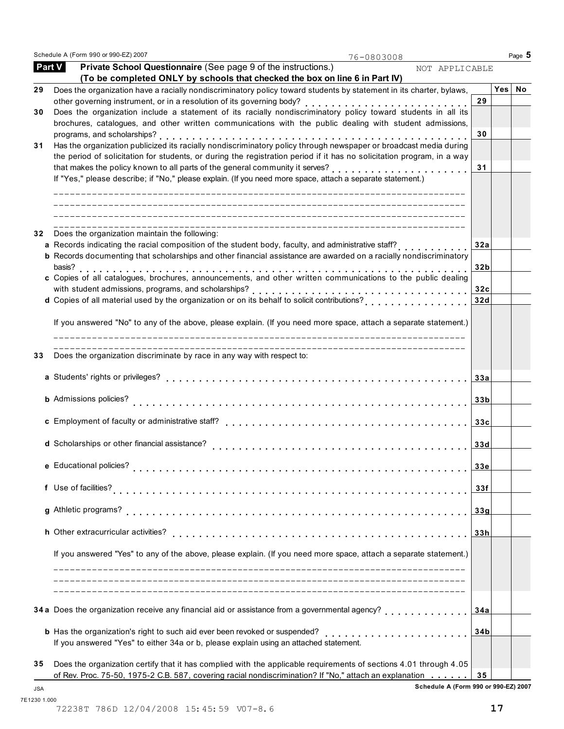Schedule A (Form 990 or 990-EZ) 2007 **Page 5 Page 10** 

76-0803008

| <b>Part V</b> | Private School Questionnaire (See page 9 of the instructions.)<br>NOT APPLICABLE<br>(To be completed ONLY by schools that checked the box on line 6 in Part IV) |                 |     |    |
|---------------|-----------------------------------------------------------------------------------------------------------------------------------------------------------------|-----------------|-----|----|
| 29            | Does the organization have a racially nondiscriminatory policy toward students by statement in its charter, bylaws,                                             |                 | Yes | No |
|               |                                                                                                                                                                 | 29              |     |    |
| 30            | Does the organization include a statement of its racially nondiscriminatory policy toward students in all its                                                   |                 |     |    |
|               | brochures, catalogues, and other written communications with the public dealing with student admissions,                                                        |                 |     |    |
|               | programs, and scholarships?                                                                                                                                     | 30              |     |    |
| 31            | Has the organization publicized its racially nondiscriminatory policy through newspaper or broadcast media during                                               |                 |     |    |
|               | the period of solicitation for students, or during the registration period if it has no solicitation program, in a way                                          |                 |     |    |
|               | If "Yes," please describe; if "No," please explain. (If you need more space, attach a separate statement.)                                                      | 31              |     |    |
|               |                                                                                                                                                                 |                 |     |    |
|               |                                                                                                                                                                 |                 |     |    |
| 32            | Does the organization maintain the following:                                                                                                                   |                 |     |    |
|               | a Records indicating the racial composition of the student body, faculty, and administrative staff?                                                             | 32a             |     |    |
|               | <b>b</b> Records documenting that scholarships and other financial assistance are awarded on a racially nondiscriminatory<br>basis?                             | 32 <sub>b</sub> |     |    |
|               | c Copies of all catalogues, brochures, announcements, and other written communications to the public dealing                                                    |                 |     |    |
|               |                                                                                                                                                                 | 32c             |     |    |
|               |                                                                                                                                                                 | 32d             |     |    |
|               |                                                                                                                                                                 |                 |     |    |
|               | If you answered "No" to any of the above, please explain. (If you need more space, attach a separate statement.)                                                |                 |     |    |
| 33            | Does the organization discriminate by race in any way with respect to:                                                                                          |                 |     |    |
|               |                                                                                                                                                                 | 33a             |     |    |
|               | <b>b</b> Admissions policies?                                                                                                                                   | 33 <sub>b</sub> |     |    |
|               |                                                                                                                                                                 |                 |     |    |
|               | c Employment of faculty or administrative staff?                                                                                                                | 33c             |     |    |
|               | d Scholarships or other financial assistance?                                                                                                                   | 33d             |     |    |
|               | e Educational policies?                                                                                                                                         | 33e             |     |    |
|               | f Use of facilities?                                                                                                                                            | 33f             |     |    |
|               | g Athletic programs?                                                                                                                                            | 33g             |     |    |
|               |                                                                                                                                                                 |                 |     |    |
|               | h Other extracurricular activities?                                                                                                                             | 33h             |     |    |
|               | If you answered "Yes" to any of the above, please explain. (If you need more space, attach a separate statement.)                                               |                 |     |    |
|               |                                                                                                                                                                 |                 |     |    |
|               | 34 a Does the organization receive any financial aid or assistance from a governmental agency?<br>di di di di di di di di di di di d                            | 34a             |     |    |
|               |                                                                                                                                                                 | 34b             |     |    |
|               | If you answered "Yes" to either 34a or b, please explain using an attached statement.                                                                           |                 |     |    |
| 35            | Does the organization certify that it has complied with the applicable requirements of sections 4.01 through 4.05                                               |                 |     |    |
|               | of Rev. Proc. 75-50, 1975-2 C.B. 587, covering racial nondiscrimination? If "No," attach an explanation                                                         | 35              |     |    |

**Schedule A (Form 990 or 990-EZ) 2007** JSA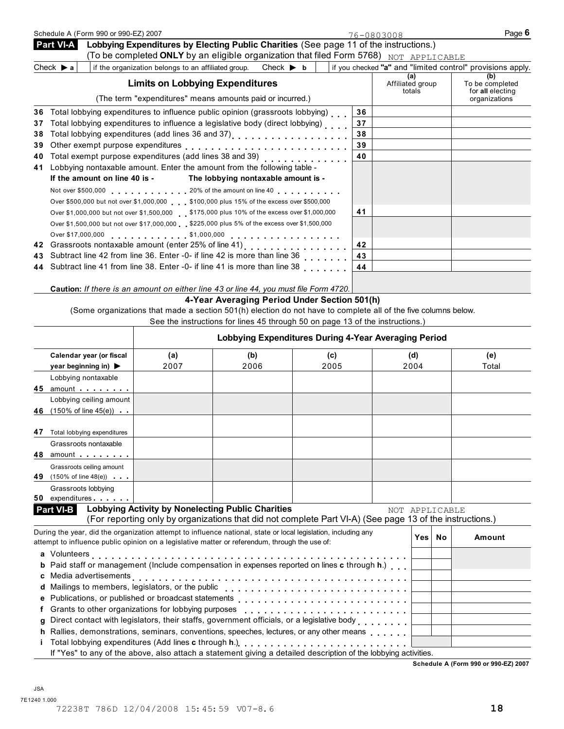|    | Schedule A (Form 990 or 990-EZ) 2007                                                                                                                                                                                                       |                                                     |                                                                                                                |      |    | 76-0803008                        | Page 6                                                     |
|----|--------------------------------------------------------------------------------------------------------------------------------------------------------------------------------------------------------------------------------------------|-----------------------------------------------------|----------------------------------------------------------------------------------------------------------------|------|----|-----------------------------------|------------------------------------------------------------|
|    | Part VI-A                                                                                                                                                                                                                                  |                                                     | Lobbying Expenditures by Electing Public Charities (See page 11 of the instructions.)                          |      |    |                                   |                                                            |
|    |                                                                                                                                                                                                                                            |                                                     | (To be completed ONLY by an eligible organization that filed Form 5768) NOT APPLICABLE                         |      |    |                                   |                                                            |
|    | Check $\triangleright$ a                                                                                                                                                                                                                   | if the organization belongs to an affiliated group. | Check $\blacktriangleright$ b                                                                                  |      |    |                                   | if you checked "a" and "limited control" provisions apply. |
|    |                                                                                                                                                                                                                                            | <b>Limits on Lobbying Expenditures</b>              |                                                                                                                |      |    | (a)<br>Affiliated group<br>totals | (b)<br>To be completed<br>for all electing                 |
|    |                                                                                                                                                                                                                                            |                                                     | (The term "expenditures" means amounts paid or incurred.)                                                      |      |    |                                   | organizations                                              |
| 36 | Total lobbying expenditures to influence public opinion (grassroots lobbying)                                                                                                                                                              |                                                     |                                                                                                                |      | 36 |                                   |                                                            |
| 37 | Total lobbying expenditures to influence a legislative body (direct lobbying)                                                                                                                                                              |                                                     |                                                                                                                |      | 37 |                                   |                                                            |
| 38 |                                                                                                                                                                                                                                            |                                                     |                                                                                                                |      | 38 |                                   |                                                            |
| 39 |                                                                                                                                                                                                                                            |                                                     |                                                                                                                |      | 39 |                                   |                                                            |
| 40 | Total exempt purpose expenditures (add lines 38 and 39)<br>Lobbying nontaxable amount. Enter the amount from the following table -                                                                                                         |                                                     |                                                                                                                |      | 40 |                                   |                                                            |
| 41 | If the amount on line 40 is -                                                                                                                                                                                                              |                                                     | The lobbying nontaxable amount is -                                                                            |      |    |                                   |                                                            |
|    |                                                                                                                                                                                                                                            |                                                     |                                                                                                                |      |    |                                   |                                                            |
|    | Not over \$500,000 20% of the amount on line 40<br>Over \$500,000 but not over \$1,000,000 \$100,000 plus 15% of the excess over \$500,000                                                                                                 |                                                     |                                                                                                                |      |    |                                   |                                                            |
|    | Over \$1,000,000 but not over \$1,500,000 \$175,000 plus 10% of the excess over \$1,000,000                                                                                                                                                |                                                     |                                                                                                                |      | 41 |                                   |                                                            |
|    | Over \$1,500,000 but not over \$17,000,000 \$225,000 plus 5% of the excess over \$1,500,000                                                                                                                                                |                                                     |                                                                                                                |      |    |                                   |                                                            |
|    |                                                                                                                                                                                                                                            |                                                     |                                                                                                                |      |    |                                   |                                                            |
| 42 | Grassroots nontaxable amount (enter 25% of line 41)<br>[100]<br>Alternative 41]<br>Alternative 41 and 2010<br>Alternative 41 and 2010<br>Alternative 41 and 2010<br>Alternative 41 and 30 and 30 and 30 and 30 and 30 and 30 and 30 and 30 |                                                     |                                                                                                                |      | 42 |                                   |                                                            |
| 43 | Subtract line 42 from line 36. Enter -0- if line 42 is more than line 36                                                                                                                                                                   |                                                     |                                                                                                                |      | 43 |                                   |                                                            |
| 44 | Subtract line 41 from line 38. Enter -0- if line 41 is more than line 38                                                                                                                                                                   |                                                     |                                                                                                                |      | 44 |                                   |                                                            |
|    |                                                                                                                                                                                                                                            |                                                     |                                                                                                                |      |    |                                   |                                                            |
|    | Caution: If there is an amount on either line 43 or line 44, you must file Form 4720.                                                                                                                                                      |                                                     |                                                                                                                |      |    |                                   |                                                            |
|    |                                                                                                                                                                                                                                            |                                                     | 4-Year Averaging Period Under Section 501(h)                                                                   |      |    |                                   |                                                            |
|    |                                                                                                                                                                                                                                            |                                                     | (Some organizations that made a section 501(h) election do not have to complete all of the five columns below. |      |    |                                   |                                                            |
|    |                                                                                                                                                                                                                                            |                                                     | See the instructions for lines 45 through 50 on page 13 of the instructions.)                                  |      |    |                                   |                                                            |
|    |                                                                                                                                                                                                                                            |                                                     | Lobbying Expenditures During 4-Year Averaging Period                                                           |      |    |                                   |                                                            |
|    | Calendar year (or fiscal                                                                                                                                                                                                                   | (a)                                                 | (b)                                                                                                            | (c)  |    | (d)                               | (e)                                                        |
|    | year beginning in) $\blacktriangleright$                                                                                                                                                                                                   | 2007                                                | 2006                                                                                                           | 2005 |    | 2004                              | Total                                                      |
|    | Lobbying nontaxable                                                                                                                                                                                                                        |                                                     |                                                                                                                |      |    |                                   |                                                            |
|    | 45 amount and the set of the set of the set of the set of the set of the set of the set of the set of the set of the set of the set of the set of the set of the set of the set of the set of the set of the set of the set of             |                                                     |                                                                                                                |      |    |                                   |                                                            |
|    | Lobbying ceiling amount                                                                                                                                                                                                                    |                                                     |                                                                                                                |      |    |                                   |                                                            |
|    | 46 (150% of line 45(e))                                                                                                                                                                                                                    |                                                     |                                                                                                                |      |    |                                   |                                                            |
|    | 47 Total lobbying expenditures                                                                                                                                                                                                             |                                                     |                                                                                                                |      |    |                                   |                                                            |
|    |                                                                                                                                                                                                                                            |                                                     |                                                                                                                |      |    |                                   |                                                            |

|    | Grassroots nontaxable                                                                                                                                                                                                         |                                                          |                                                                                                          |                |     |           |        |
|----|-------------------------------------------------------------------------------------------------------------------------------------------------------------------------------------------------------------------------------|----------------------------------------------------------|----------------------------------------------------------------------------------------------------------|----------------|-----|-----------|--------|
|    |                                                                                                                                                                                                                               |                                                          |                                                                                                          |                |     |           |        |
|    | Grassroots ceiling amount                                                                                                                                                                                                     |                                                          |                                                                                                          |                |     |           |        |
| 49 | $(150\% \text{ of line } 48(e))$                                                                                                                                                                                              |                                                          |                                                                                                          |                |     |           |        |
|    | Grassroots lobbying                                                                                                                                                                                                           |                                                          |                                                                                                          |                |     |           |        |
|    | 50 expenditures and the set of the set of the set of the set of the set of the set of the set of the set of the set of the set of the set of the set of the set of the set of the set of the set of the set of the set of the |                                                          |                                                                                                          |                |     |           |        |
|    | Part VI-B                                                                                                                                                                                                                     | <b>Lobbying Activity by Nonelecting Public Charities</b> | (For reporting only by organizations that did not complete Part VI-A) (See page 13 of the instructions.) | NOT APPLICABLE |     |           |        |
|    | During the year, did the organization attempt to influence national, state or local legislation, including any<br>attempt to influence public opinion on a legislative matter or referendum, through the use of:              |                                                          |                                                                                                          |                | Yes | <b>No</b> | Amount |
|    | a Volunteers                                                                                                                                                                                                                  |                                                          |                                                                                                          |                |     |           |        |

| <b>b</b> Paid staff or management (Include compensation in expenses reported on lines c through <b>h</b> .) [                                                                                                                  |  |  |
|--------------------------------------------------------------------------------------------------------------------------------------------------------------------------------------------------------------------------------|--|--|
|                                                                                                                                                                                                                                |  |  |
| d Mailings to members, legislators, or the public $\ldots \ldots \ldots \ldots \ldots \ldots \ldots \ldots$                                                                                                                    |  |  |
|                                                                                                                                                                                                                                |  |  |
| f Grants to other organizations for lobbying purposes                                                                                                                                                                          |  |  |
| g Direct contact with legislators, their staffs, government officials, or a legislative body                                                                                                                                   |  |  |
| h Rallies, demonstrations, seminars, conventions, speeches, lectures, or any other means                                                                                                                                       |  |  |
| i Total lobbying expenditures (Add lines c through h.) [1] [2] The content of the content of the content of the content of the content of the content of the content of the content of the content of the content of the conte |  |  |
| If "Yes" to any of the above, also attach a statement giving a detailed description of the lobbying activities.                                                                                                                |  |  |

**Schedule A (Form 990 or 990-EZ) 2007**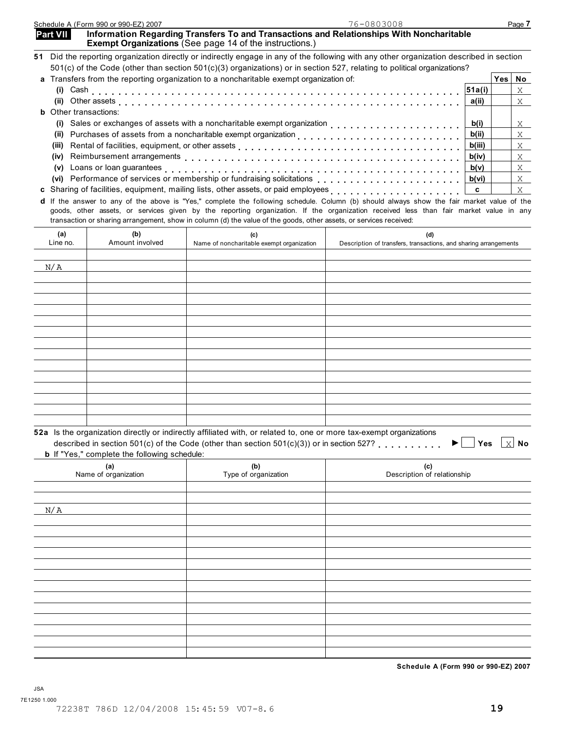|                              |                                                     | a Transfers from the reporting organization to a noncharitable exempt organization of:                                                                                                                                                                                                                                                                                                                   |                                                                         |               | Yes No |            |
|------------------------------|-----------------------------------------------------|----------------------------------------------------------------------------------------------------------------------------------------------------------------------------------------------------------------------------------------------------------------------------------------------------------------------------------------------------------------------------------------------------------|-------------------------------------------------------------------------|---------------|--------|------------|
|                              |                                                     |                                                                                                                                                                                                                                                                                                                                                                                                          |                                                                         | 51a(i)        |        | X          |
|                              |                                                     |                                                                                                                                                                                                                                                                                                                                                                                                          |                                                                         | a(ii)         |        | X          |
| <b>b</b> Other transactions: |                                                     |                                                                                                                                                                                                                                                                                                                                                                                                          |                                                                         |               |        |            |
|                              |                                                     |                                                                                                                                                                                                                                                                                                                                                                                                          |                                                                         | b(i)          |        | X.         |
|                              |                                                     |                                                                                                                                                                                                                                                                                                                                                                                                          |                                                                         | b(ii)         |        | $X -$      |
|                              |                                                     | (iii) Rental of facilities, equipment, or other assets [1] [1] [1] The content of the content of the content of the content of the content of the content of the content of the content of the content of the content of the c                                                                                                                                                                           |                                                                         | b(iii)        |        | X          |
| (iv)                         |                                                     |                                                                                                                                                                                                                                                                                                                                                                                                          |                                                                         | b(iv)         |        | X          |
| (v)                          |                                                     |                                                                                                                                                                                                                                                                                                                                                                                                          |                                                                         | b(v)<br>b(vi) |        | X<br>$X -$ |
|                              |                                                     |                                                                                                                                                                                                                                                                                                                                                                                                          |                                                                         | c             |        | X          |
|                              |                                                     | d If the answer to any of the above is "Yes," complete the following schedule. Column (b) should always show the fair market value of the<br>goods, other assets, or services given by the reporting organization. If the organization received less than fair market value in any<br>transaction or sharing arrangement, show in column (d) the value of the goods, other assets, or services received: |                                                                         |               |        |            |
| (a)<br>Line no.              | (b)<br>Amount involved                              | (c)<br>Name of noncharitable exempt organization                                                                                                                                                                                                                                                                                                                                                         | (d)<br>Description of transfers, transactions, and sharing arrangements |               |        |            |
|                              |                                                     |                                                                                                                                                                                                                                                                                                                                                                                                          |                                                                         |               |        |            |
| N/A                          |                                                     |                                                                                                                                                                                                                                                                                                                                                                                                          |                                                                         |               |        |            |
|                              |                                                     |                                                                                                                                                                                                                                                                                                                                                                                                          |                                                                         |               |        |            |
|                              |                                                     |                                                                                                                                                                                                                                                                                                                                                                                                          |                                                                         |               |        |            |
|                              |                                                     |                                                                                                                                                                                                                                                                                                                                                                                                          |                                                                         |               |        |            |
|                              |                                                     |                                                                                                                                                                                                                                                                                                                                                                                                          |                                                                         |               |        |            |
|                              |                                                     |                                                                                                                                                                                                                                                                                                                                                                                                          |                                                                         |               |        |            |
|                              |                                                     |                                                                                                                                                                                                                                                                                                                                                                                                          |                                                                         |               |        |            |
|                              |                                                     |                                                                                                                                                                                                                                                                                                                                                                                                          |                                                                         |               |        |            |
|                              |                                                     |                                                                                                                                                                                                                                                                                                                                                                                                          |                                                                         |               |        |            |
|                              |                                                     |                                                                                                                                                                                                                                                                                                                                                                                                          |                                                                         |               |        |            |
|                              |                                                     |                                                                                                                                                                                                                                                                                                                                                                                                          |                                                                         |               |        |            |
|                              |                                                     |                                                                                                                                                                                                                                                                                                                                                                                                          |                                                                         |               |        |            |
|                              |                                                     |                                                                                                                                                                                                                                                                                                                                                                                                          |                                                                         |               |        |            |
|                              |                                                     |                                                                                                                                                                                                                                                                                                                                                                                                          |                                                                         |               |        |            |
|                              |                                                     |                                                                                                                                                                                                                                                                                                                                                                                                          |                                                                         |               |        |            |
|                              |                                                     | 52a Is the organization directly or indirectly affiliated with, or related to, one or more tax-exempt organizations<br>described in section 501(c) of the Code (other than section 501(c)(3)) or in section 527?                                                                                                                                                                                         | ▶                                                                       | Yes           |        |            |
|                              | <b>b</b> If "Yes," complete the following schedule: |                                                                                                                                                                                                                                                                                                                                                                                                          |                                                                         |               |        |            |
|                              | (a)                                                 | (b)                                                                                                                                                                                                                                                                                                                                                                                                      | (c)                                                                     |               |        |            |
|                              | Name of organization                                | Type of organization                                                                                                                                                                                                                                                                                                                                                                                     | Description of relationship                                             |               |        |            |
|                              |                                                     |                                                                                                                                                                                                                                                                                                                                                                                                          |                                                                         |               |        |            |
| N/A                          |                                                     |                                                                                                                                                                                                                                                                                                                                                                                                          |                                                                         |               |        |            |
|                              |                                                     |                                                                                                                                                                                                                                                                                                                                                                                                          |                                                                         |               |        | No         |
|                              |                                                     |                                                                                                                                                                                                                                                                                                                                                                                                          |                                                                         |               |        |            |
|                              |                                                     |                                                                                                                                                                                                                                                                                                                                                                                                          |                                                                         |               |        |            |
|                              |                                                     |                                                                                                                                                                                                                                                                                                                                                                                                          |                                                                         |               |        |            |
|                              |                                                     |                                                                                                                                                                                                                                                                                                                                                                                                          |                                                                         |               |        |            |
|                              |                                                     |                                                                                                                                                                                                                                                                                                                                                                                                          |                                                                         |               |        |            |
|                              |                                                     |                                                                                                                                                                                                                                                                                                                                                                                                          |                                                                         |               |        |            |
|                              |                                                     |                                                                                                                                                                                                                                                                                                                                                                                                          |                                                                         |               |        |            |
|                              |                                                     |                                                                                                                                                                                                                                                                                                                                                                                                          |                                                                         |               |        |            |
|                              |                                                     |                                                                                                                                                                                                                                                                                                                                                                                                          |                                                                         |               |        |            |
|                              |                                                     |                                                                                                                                                                                                                                                                                                                                                                                                          |                                                                         |               |        |            |
|                              |                                                     |                                                                                                                                                                                                                                                                                                                                                                                                          |                                                                         |               |        |            |
|                              |                                                     |                                                                                                                                                                                                                                                                                                                                                                                                          | Schedule A (Form 990 or 990-EZ) 2007                                    |               |        |            |

76-0803008

**51** Did the reporting organization directly or indirectly engage in any of the following with any other organization described in section

**a** Transfers from the reporting organization to a noncharitable exempt organization of: **Yes No**

501(c) of the Code (other than section 501(c)(3) organizations) or in section 527, relating to political organizations?

|  |  | dule A (Form 990 or 990-EZ) 2007 |  |
|--|--|----------------------------------|--|
|  |  |                                  |  |

|                 | Schedule A (Form 990 or 990-EZ) 2007 | 76-0803008                                                                               | Page . |
|-----------------|--------------------------------------|------------------------------------------------------------------------------------------|--------|
| <b>Part VII</b> |                                      | Information Regarding Transfers To and Transactions and Relationships With Noncharitable |        |

**Exempt Organizations** (See page 14 of the instructions.)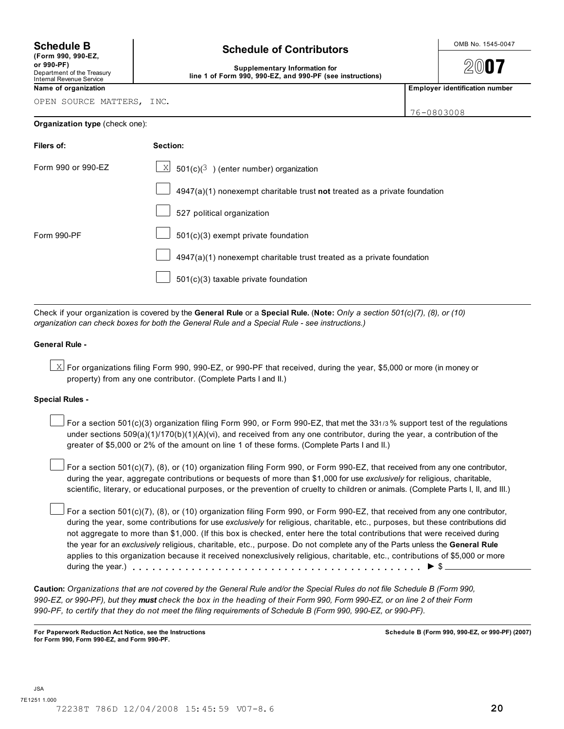**(Form 990, 990-EZ,**

# Internal Revenue Service

OPEN SOURCE MATTERS, INC.

# **Schedule B**  $\left\vert \right\vert$  **Schedule of Contributors**  $\left\vert \right\vert$  **OMB No. 1545-0047**

**or 990-PF)**<br>Department of the Treasury **Contained Act Supplementary Information for** line 1 of Form 990, 990-EZ, and 990-PF (see instructions)

2007

**Name of organization Employer identification number**

**Organization type** (check one):

|--|

| Filers of:         | Section:                                                                  |
|--------------------|---------------------------------------------------------------------------|
| Form 990 or 990-EZ | $\underline{\times}$ 501(c)( <sup>3</sup> ) (enter number) organization   |
|                    | 4947(a)(1) nonexempt charitable trust not treated as a private foundation |
|                    | 527 political organization                                                |
| Form 990-PF        | $501(c)(3)$ exempt private foundation                                     |
|                    | 4947(a)(1) nonexempt charitable trust treated as a private foundation     |
|                    | 501(c)(3) taxable private foundation                                      |

Check if your organization is covered by the **General Rule** or a **Special Rule.** (**Note:** *Only a section 501(c)(7), (8), or (10) organization can check boxes for both the General Rule and a Special Rule - see instructions.)*

## **General Rule -**

 $\boxtimes$  For organizations filing Form 990, 990-EZ, or 990-PF that received, during the year, \$5,000 or more (in money or property) from any one contributor. (Complete Parts I and II.)

## **Special Rules -**

For a section 501(c)(3) organization filing Form 990, or Form 990-EZ, that met the 331/3% support test of the regulations under sections 509(a)(1)/170(b)(1)(A)(vi), and received from any one contributor, during the year, a contribution of the greater of \$5,000 or 2% of the amount on line 1 of these forms. (Complete Parts I and II.)

For a section 501(c)(7), (8), or (10) organization filing Form 990, or Form 990-EZ, that received from any one contributor, during the year, aggregate contributions or bequests of more than \$1,000 for use *exclusively* for religious, charitable, scientific, literary, or educational purposes, or the prevention of cruelty to children or animals. (Complete Parts I, II, and III.)

For a section 501(c)(7), (8), or (10) organization filing Form 990, or Form 990-EZ, that received from any one contributor, during the year, some contributions for use *exclusively* for religious, charitable, etc., purposes, but these contributions did not aggregate to more than \$1,000. (If this box is checked, enter here the total contributions that were received during the year for an *exclusively* religious, charitable, etc., purpose. Do not complete any of the Parts unless the **General Rule** applies to this organization because it received nonexclusively religious, charitable, etc., contributions of \$5,000 or more during the year.)  $\ldots$   $\ldots$   $\ldots$   $\ldots$   $\ldots$   $\ldots$   $\ldots$   $\ldots$   $\ldots$   $\ldots$   $\ldots$   $\ldots$   $\ldots$   $\blacktriangleright$   $\uparrow$ 

**Caution:** *Organizations that are not covered by the General Rule and/or the Special Rules do not file Schedule B (Form 990, 990-EZ, or 990-PF), but they must check the box in the heading of their Form 990, Form 990-EZ, or on line 2 of their Form 990-PF, to certify that they do not meet the filing requirements of Schedule B (Form 990, 990-EZ, or 990-PF).*

**For Paperwork Reduction Act Notice, see the Instructions for Form 990, Form 990-EZ, and Form 990-PF.**

**Schedule B (Form 990, 990-EZ, or 990-PF) (2007)**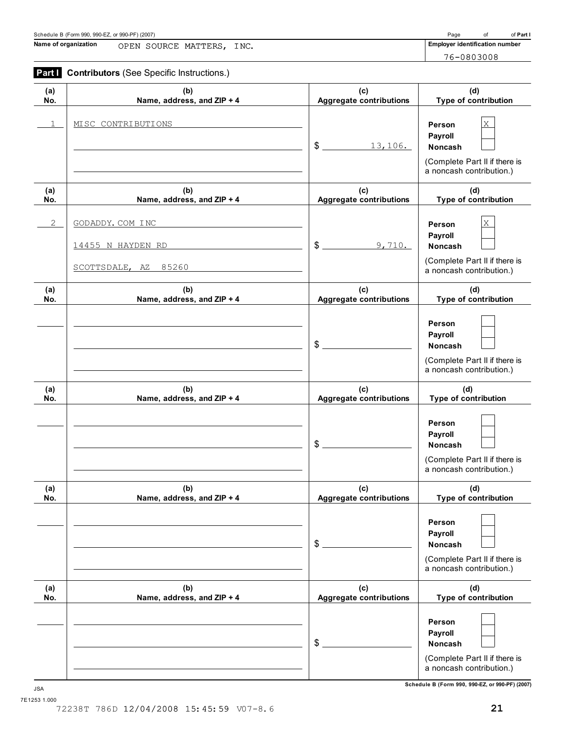**Name of organization Employer identification number** OPEN SOURCE MATTERS, INC.

76-0803008

|  | <b>Part   Contributors (See Specific Instructions.)</b> |  |
|--|---------------------------------------------------------|--|
|  |                                                         |  |

| (a) | (b)                                                           | (c)                            | (d)                                                                                                   |
|-----|---------------------------------------------------------------|--------------------------------|-------------------------------------------------------------------------------------------------------|
| No. | Name, address, and ZIP + 4                                    | <b>Aggregate contributions</b> | Type of contribution                                                                                  |
| 1   | MISC CONTRIBUTIONS                                            | $\mathsf{S}$<br>13,106.        | X<br>Person<br>Payroll<br><b>Noncash</b><br>(Complete Part II if there is<br>a noncash contribution.) |
| (a) | (b)                                                           | (c)                            | (d)                                                                                                   |
| No. | Name, address, and ZIP + 4                                    | <b>Aggregate contributions</b> | Type of contribution                                                                                  |
| 2   | GODADDY. COM INC<br>14455 N HAYDEN RD<br>SCOTTSDALE, AZ 85260 | $\mathfrak{F}$<br>9,710.       | X<br>Person<br>Payroll<br><b>Noncash</b><br>(Complete Part II if there is<br>a noncash contribution.) |
| (a) | (b)                                                           | (c)                            | (d)                                                                                                   |
| No. | Name, address, and ZIP + 4                                    | <b>Aggregate contributions</b> | Type of contribution                                                                                  |
|     |                                                               | \$                             | Person<br>Payroll<br><b>Noncash</b><br>(Complete Part II if there is<br>a noncash contribution.)      |
| (a) | (b)                                                           | (c)                            | (d)                                                                                                   |
| No. | Name, address, and ZIP + 4                                    | <b>Aggregate contributions</b> | Type of contribution                                                                                  |
|     |                                                               | \$                             | Person<br>Payroll<br>Noncash<br>(Complete Part II if there is<br>a noncash contribution.)             |
| (a) | (b)                                                           | (c)                            | (d)                                                                                                   |
| No. | Name, address, and ZIP + 4                                    | <b>Aggregate contributions</b> | Type of contribution                                                                                  |
|     |                                                               | \$                             | Person<br>Payroll<br><b>Noncash</b><br>(Complete Part II if there is<br>a noncash contribution.)      |
| (a) | (b)                                                           | (c)                            | (d)                                                                                                   |
| No. | Name, address, and ZIP + 4                                    | <b>Aggregate contributions</b> | Type of contribution                                                                                  |
|     |                                                               | \$                             | Person<br>Payroll<br>Noncash<br>(Complete Part II if there is<br>a noncash contribution.)             |

**Schedule B (Form 990, 990-EZ, or 990-PF) (2007)** JSA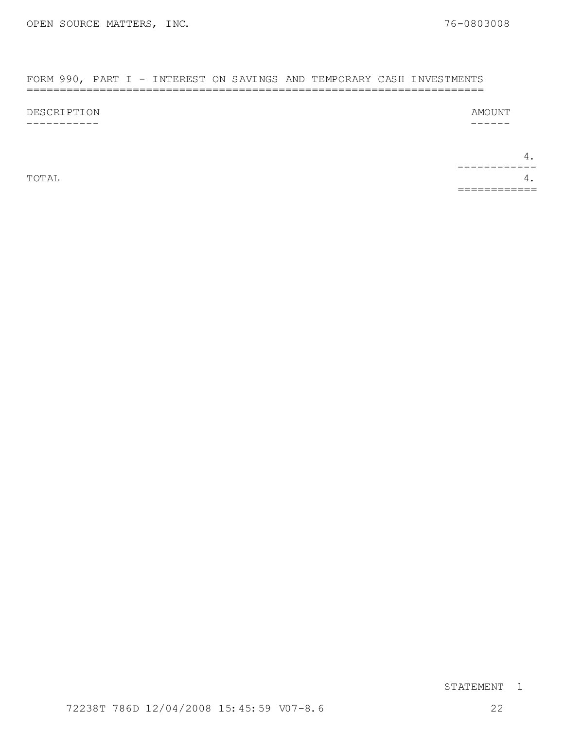### FORM 990, PART I - INTEREST ON SAVINGS AND TEMPORARY CASH INVESTMENTS =====================================================================

DESCRIPTION -----------

AMOUNT

------

4. TOTAL  $4.$ ------------ ============

# STATEMENT 1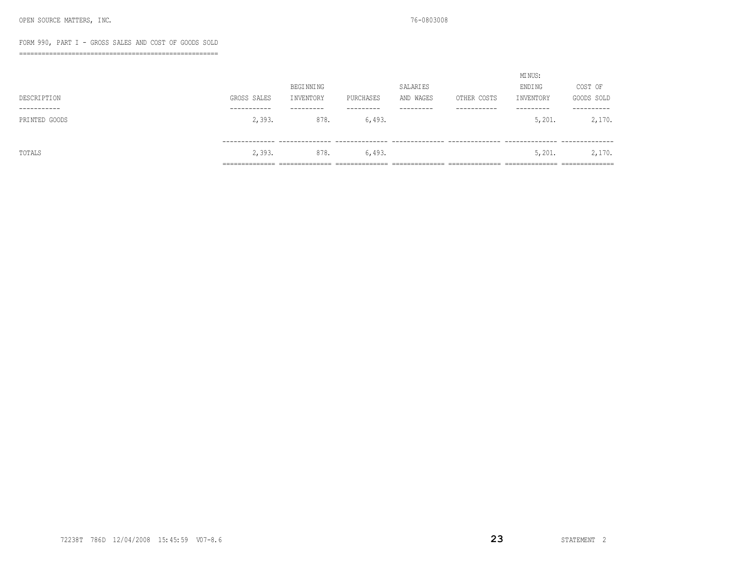### FORM 990, PART I - GROSS SALES AND COST OF GOODS SOLD

=====================================================

|               |                |                 |                |                |                | MINUS:         |                |  |
|---------------|----------------|-----------------|----------------|----------------|----------------|----------------|----------------|--|
|               |                | BEGI NNI NG     |                | SALARIES       |                | ENDING         | COST OF        |  |
| DESCRIPTION   | GROSS SALES    | INVENTORY       | PURCHASES      | AND WAGES      | OTHER COSTS    | INVENTORY      | GOODS SOLD     |  |
| -----------   | -----------    | ---------       | ---------      | ---------      | -----------    | ---------      | ----------     |  |
| PRINTED GOODS | 2,393.         | 878.            | 6,493.         |                |                | 5,201.         | 2,170.         |  |
|               |                |                 |                |                |                |                |                |  |
|               |                |                 |                |                |                |                |                |  |
| TOTALS        | 2,393.         | 878.            | 6,493.         |                |                | 5,201.         | 2,170.         |  |
|               | ______________ | _______________ | -------------- | ______________ | ______________ | ______________ | ______________ |  |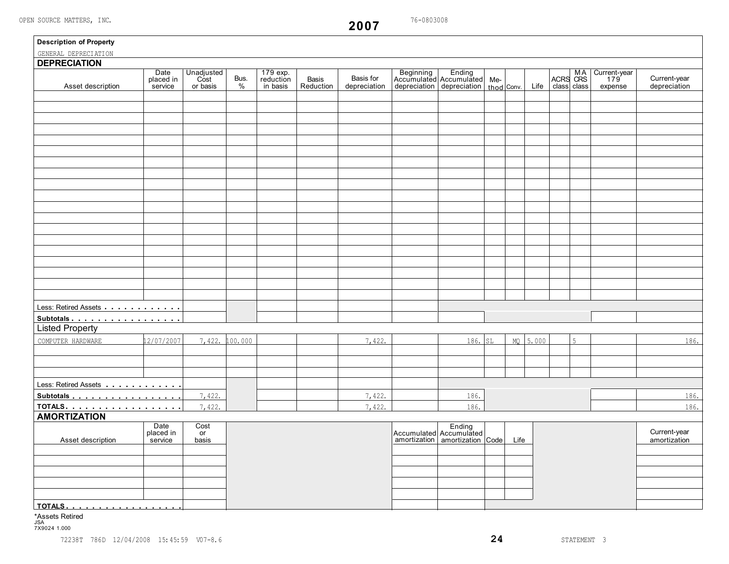$\sqrt{2}$ 

**2007**

| <b>Description of Property</b><br>GENERAL DEPRECIATION |                              |                                |              |                                   |                    |                           |                                                                                         |      |          |             |                                            |                              |
|--------------------------------------------------------|------------------------------|--------------------------------|--------------|-----------------------------------|--------------------|---------------------------|-----------------------------------------------------------------------------------------|------|----------|-------------|--------------------------------------------|------------------------------|
| <b>DEPRECIATION</b>                                    |                              |                                |              |                                   |                    |                           |                                                                                         |      |          |             |                                            |                              |
| Asset description                                      | Date<br>placed in<br>service | Unadjusted<br>Cost<br>or basis | Bus.<br>$\%$ | 179 exp.<br>reduction<br>in basis | Basis<br>Reduction | Basis for<br>depreciation | Beginning Ending<br>Accumulated Accumulated Me-<br>depreciation depreciation thod Conv. |      | Life     | class class | MA Current-year<br>ACRS CRS 179<br>expense | Current-year<br>depreciation |
|                                                        |                              |                                |              |                                   |                    |                           |                                                                                         |      |          |             |                                            |                              |
|                                                        |                              |                                |              |                                   |                    |                           |                                                                                         |      |          |             |                                            |                              |
|                                                        |                              |                                |              |                                   |                    |                           |                                                                                         |      |          |             |                                            |                              |
|                                                        |                              |                                |              |                                   |                    |                           |                                                                                         |      |          |             |                                            |                              |
|                                                        |                              |                                |              |                                   |                    |                           |                                                                                         |      |          |             |                                            |                              |
|                                                        |                              |                                |              |                                   |                    |                           |                                                                                         |      |          |             |                                            |                              |
|                                                        |                              |                                |              |                                   |                    |                           |                                                                                         |      |          |             |                                            |                              |
|                                                        |                              |                                |              |                                   |                    |                           |                                                                                         |      |          |             |                                            |                              |
|                                                        |                              |                                |              |                                   |                    |                           |                                                                                         |      |          |             |                                            |                              |
|                                                        |                              |                                |              |                                   |                    |                           |                                                                                         |      |          |             |                                            |                              |
|                                                        |                              |                                |              |                                   |                    |                           |                                                                                         |      |          |             |                                            |                              |
|                                                        |                              |                                |              |                                   |                    |                           |                                                                                         |      |          |             |                                            |                              |
|                                                        |                              |                                |              |                                   |                    |                           |                                                                                         |      |          |             |                                            |                              |
|                                                        |                              |                                |              |                                   |                    |                           |                                                                                         |      |          |             |                                            |                              |
|                                                        |                              |                                |              |                                   |                    |                           |                                                                                         |      |          |             |                                            |                              |
|                                                        |                              |                                |              |                                   |                    |                           |                                                                                         |      |          |             |                                            |                              |
|                                                        |                              |                                |              |                                   |                    |                           |                                                                                         |      |          |             |                                            |                              |
|                                                        |                              |                                |              |                                   |                    |                           |                                                                                         |      |          |             |                                            |                              |
|                                                        |                              |                                |              |                                   |                    |                           |                                                                                         |      |          |             |                                            |                              |
|                                                        |                              |                                |              |                                   |                    |                           |                                                                                         |      |          |             |                                            |                              |
| Less: Retired Assets                                   |                              |                                |              |                                   |                    |                           |                                                                                         |      |          |             |                                            |                              |
| Subtotals                                              |                              |                                |              |                                   |                    |                           |                                                                                         |      |          |             |                                            |                              |
| <b>Listed Property</b>                                 |                              |                                |              |                                   |                    |                           |                                                                                         |      |          |             |                                            |                              |
| COMPUTER HARDWARE                                      | 12/07/2007                   | 7,422.                         | 100.000      |                                   |                    | 7,422.                    | 186. SL                                                                                 |      | MQ 5.000 | 5           |                                            | 186.                         |
|                                                        |                              |                                |              |                                   |                    |                           |                                                                                         |      |          |             |                                            |                              |
|                                                        |                              |                                |              |                                   |                    |                           |                                                                                         |      |          |             |                                            |                              |
|                                                        |                              |                                |              |                                   |                    |                           |                                                                                         |      |          |             |                                            |                              |
| Less: Retired Assets                                   |                              |                                |              |                                   |                    |                           |                                                                                         |      |          |             |                                            |                              |
| Subtotals                                              |                              | 7,422.                         |              |                                   |                    | 7,422.                    | 186.                                                                                    |      |          |             |                                            | 186.                         |
| TOTALS.                                                |                              | 7,422.                         |              |                                   |                    | 7,422.                    | 186.                                                                                    |      |          |             |                                            | 186.                         |
| <b>AMORTIZATION</b>                                    |                              |                                |              |                                   |                    |                           |                                                                                         |      |          |             |                                            |                              |
|                                                        | Date<br>placed in            | Cost<br>or                     |              |                                   |                    |                           | Accumulated Accumulated                                                                 |      |          |             |                                            | Current-year                 |
| Asset description                                      | service                      | basis                          |              |                                   |                    |                           | amortization   amortization   Code                                                      | Life |          |             |                                            | amortization                 |
|                                                        |                              |                                |              |                                   |                    |                           |                                                                                         |      |          |             |                                            |                              |
|                                                        |                              |                                |              |                                   |                    |                           |                                                                                         |      |          |             |                                            |                              |
|                                                        |                              |                                |              |                                   |                    |                           |                                                                                         |      |          |             |                                            |                              |
|                                                        |                              |                                |              |                                   |                    |                           |                                                                                         |      |          |             |                                            |                              |
|                                                        |                              |                                |              |                                   |                    |                           |                                                                                         |      |          |             |                                            |                              |
|                                                        |                              |                                |              |                                   |                    |                           |                                                                                         |      |          |             |                                            |                              |

\*Assets Retired JSA 7X9024 1.000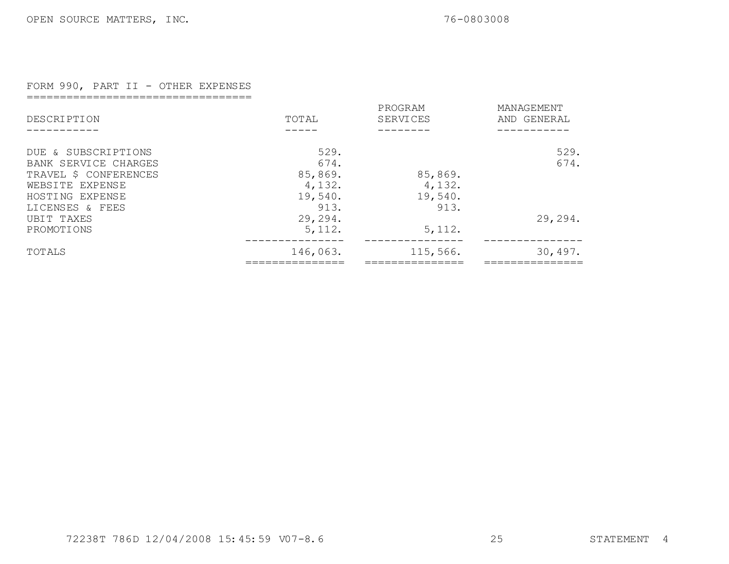# FORM 990, PART II - OTHER EXPENSES

==================================

| DESCRIPTION           | TOTAL     | PROGRAM<br>SERVICES | MANAGEMENT<br>AND GENERAL |
|-----------------------|-----------|---------------------|---------------------------|
|                       |           |                     |                           |
| DUE & SUBSCRIPTIONS   | 529.      |                     | 529.                      |
| BANK SERVICE CHARGES  | 674.      |                     | 674.                      |
| TRAVEL \$ CONFERENCES | 85,869.   | 85,869.             |                           |
| WEBSITE EXPENSE       | 4,132.    | 4,132.              |                           |
| HOSTING EXPENSE       | 19,540.   | 19,540.             |                           |
| LICENSES & FEES       | 913.      | 913.                |                           |
| UBIT TAXES            | 29, 294.  |                     | 29, 294.                  |
| PROMOTIONS            | 5, 112.   | 5, 112.             |                           |
| TOTALS                | 146,063.  | 115,566.            | 30,497.                   |
|                       | _________ |                     |                           |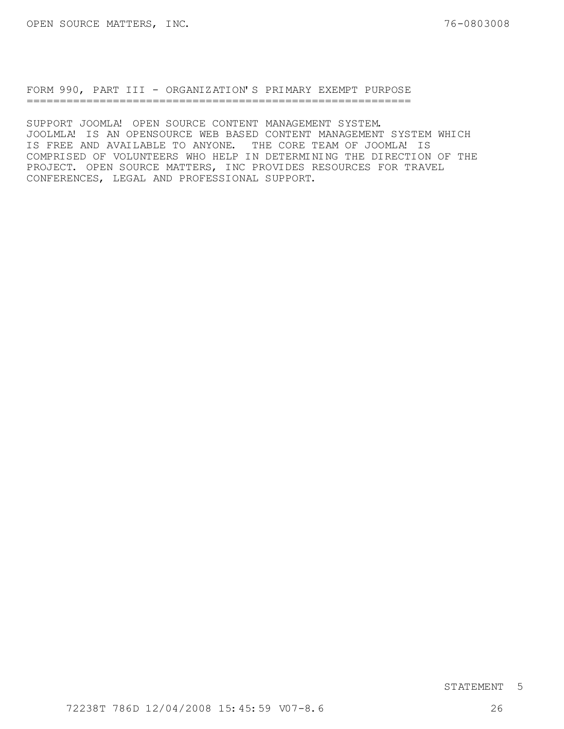FORM 990, PART III - ORGANIZATION'S PRIMARY EXEMPT PURPOSE ==========================================================

SUPPORT JOOMLA! OPEN SOURCE CONTENT MANAGEMENT SYSTEM. JOOLMLA! IS AN OPENSOURCE WEB BASED CONTENT MANAGEMENT SYSTEM WHICH IS FREE AND AVAILABLE TO ANYONE. THE CORE TEAM OF JOOMLA! IS COMPRISED OF VOLUNTEERS WHO HELP IN DETERMINING THE DIRECTION OF THE PROJECT. OPEN SOURCE MATTERS, INC PROVIDES RESOURCES FOR TRAVEL CONFERENCES, LEGAL AND PROFESSIONAL SUPPORT.

# STATEMENT 5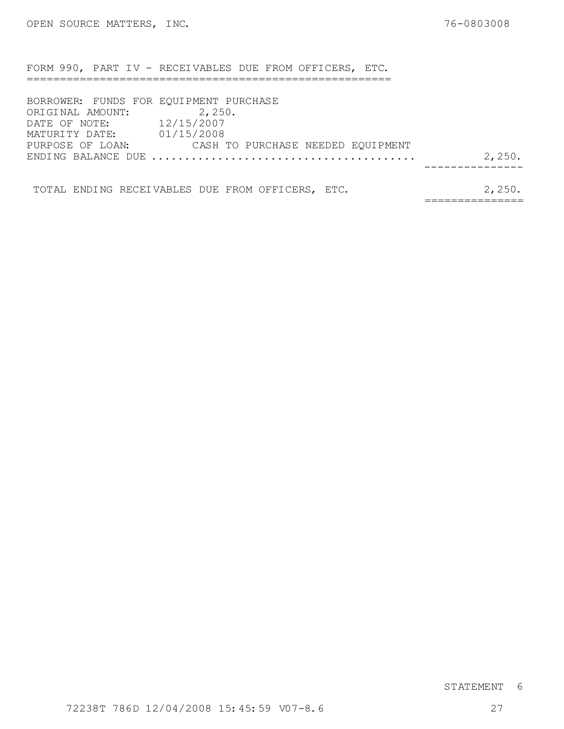FORM 990, PART IV - RECEIVABLES DUE FROM OFFICERS, ETC.

| BORROWER: FUNDS FOR EQUIPMENT PURCHASE |        |                                   |        |
|----------------------------------------|--------|-----------------------------------|--------|
| ORIGINAL AMOUNT:                       | 2,250. |                                   |        |
| DATE OF NOTE: 12/15/2007               |        |                                   |        |
| MATURITY DATE: 01/15/2008              |        |                                   |        |
| PURPOSE OF LOAN:                       |        | CASH TO PURCHASE NEEDED EQUIPMENT |        |
|                                        |        |                                   | 2,250. |
|                                        |        |                                   |        |
|                                        |        |                                   |        |

TOTAL ENDING RECEIVABLES DUE FROM OFFICERS, ETC. 2,250. ===============

# STATEMENT 6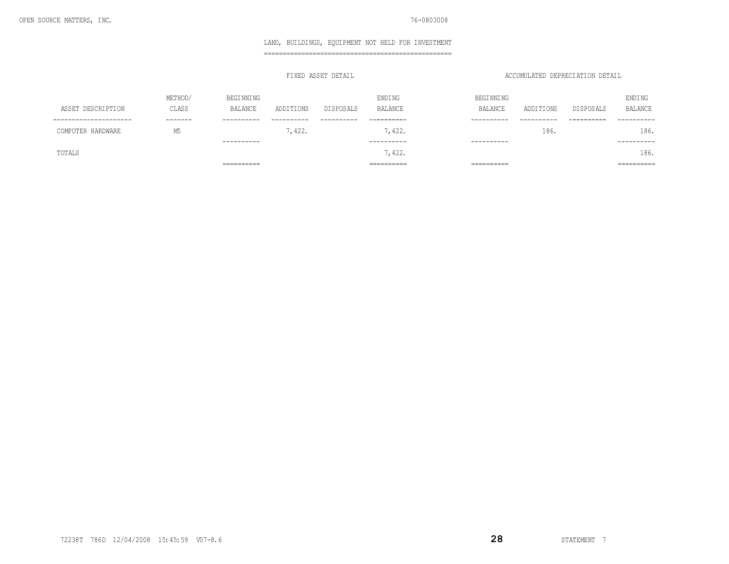### LAND, BUILDINGS, EQUIPMENT NOT HELD FOR INVESTMENT

==================================================

### FIXED ASSET DETAIL ACCUMULATED DEPRECIATION DETAIL

|                        | METHOD/  | BEGINNING                 |            |            | ENDING                   | <b>BEGINNING</b>          |            |            | ENDING                   |  |
|------------------------|----------|---------------------------|------------|------------|--------------------------|---------------------------|------------|------------|--------------------------|--|
| ASSET DESCRIPTION      | CLASS    | <b>BALANCE</b>            | ADDITIONS  | DISPOSALS  | BALANCE                  | <b>BALANCE</b>            | ADDITIONS  | DISPOSALS  | <b>BALANCE</b>           |  |
| ---------------------- | -------- | ----------                | ---------- | ---------- | ----------               | ----------                | ---------- | ---------- | ----------               |  |
| COMPUTER HARDWARE      | Мb       |                           | .422.      |            | ,422.                    |                           | 186.       |            | 186                      |  |
|                        |          | -----------               |            |            | ----------               | -----------               |            |            | ----------               |  |
| TOTALS                 |          |                           |            |            | 7,422.                   |                           |            |            | 186                      |  |
|                        |          | ___________<br>---------- |            |            | __________<br>---------- | ___________<br>---------- |            |            | __________<br>---------- |  |